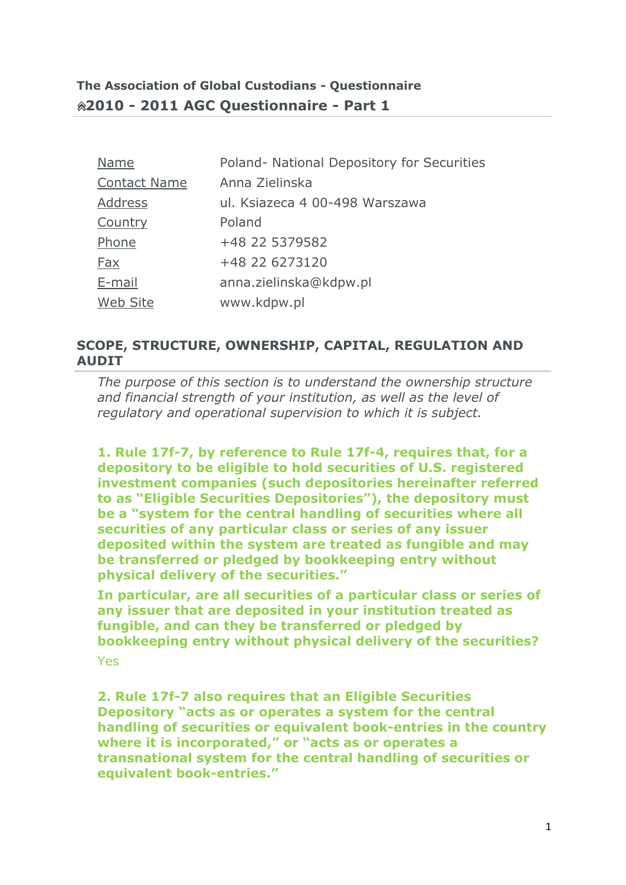| <b>Name</b>         | Poland- National Depository for Securities |
|---------------------|--------------------------------------------|
| <b>Contact Name</b> | Anna Zielinska                             |
| Address             | ul. Ksiazeca 4 00-498 Warszawa             |
| Country             | Poland                                     |
| Phone               | +48 22 5379582                             |
| Fax                 | +48 22 6273120                             |
| E-mail              | anna.zielinska@kdpw.pl                     |
| Web Site            | www.kdpw.pl                                |

# **SCOPE, STRUCTURE, OWNERSHIP, CAPITAL, REGULATION AND AUDIT**

*The purpose of this section is to understand the ownership structure and financial strength of your institution, as well as the level of regulatory and operational supervision to which it is subject.*

**1. Rule 17f-7, by reference to Rule 17f-4, requires that, for a depository to be eligible to hold securities of U.S. registered investment companies (such depositories hereinafter referred to as "Eligible Securities Depositories"), the depository must be a "system for the central handling of securities where all securities of any particular class or series of any issuer deposited within the system are treated as fungible and may be transferred or pledged by bookkeeping entry without physical delivery of the securities."**

**In particular, are all securities of a particular class or series of any issuer that are deposited in your institution treated as fungible, and can they be transferred or pledged by bookkeeping entry without physical delivery of the securities?**

Yes

**2. Rule 17f-7 also requires that an Eligible Securities Depository "acts as or operates a system for the central handling of securities or equivalent book-entries in the country where it is incorporated," or "acts as or operates a transnational system for the central handling of securities or equivalent book-entries."**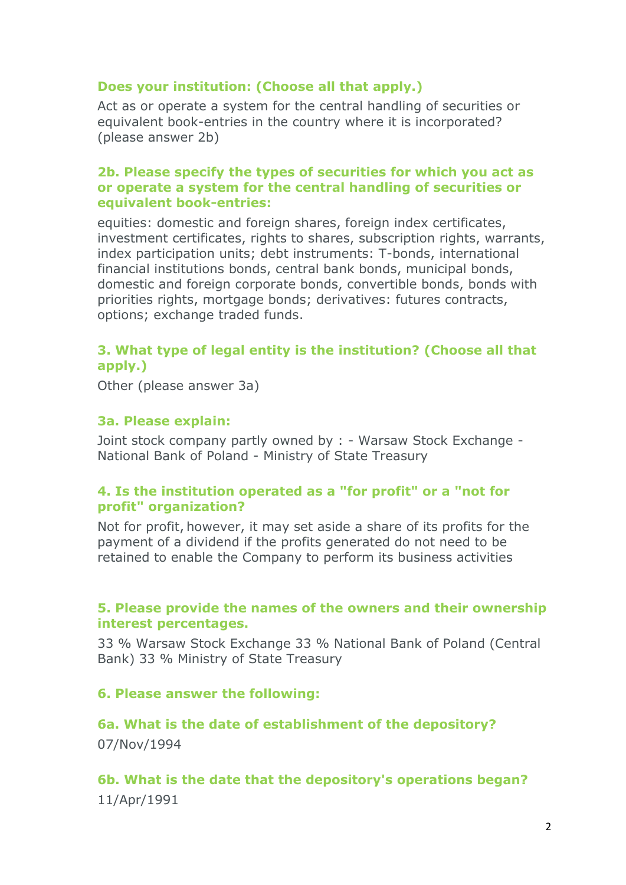# **Does your institution: (Choose all that apply.)**

Act as or operate a system for the central handling of securities or equivalent book-entries in the country where it is incorporated? (please answer 2b)

#### **2b. Please specify the types of securities for which you act as or operate a system for the central handling of securities or equivalent book-entries:**

equities: domestic and foreign shares, foreign index certificates, investment certificates, rights to shares, subscription rights, warrants, index participation units; debt instruments: T-bonds, international financial institutions bonds, central bank bonds, municipal bonds, domestic and foreign corporate bonds, convertible bonds, bonds with priorities rights, mortgage bonds; derivatives: futures contracts, options; exchange traded funds.

# **3. What type of legal entity is the institution? (Choose all that apply.)**

Other (please answer 3a)

#### **3a. Please explain:**

Joint stock company partly owned by : - Warsaw Stock Exchange - National Bank of Poland - Ministry of State Treasury

## **4. Is the institution operated as a "for profit" or a "not for profit" organization?**

Not for profit, however, it may set aside a share of its profits for the payment of a dividend if the profits generated do not need to be retained to enable the Company to perform its business activities

## **5. Please provide the names of the owners and their ownership interest percentages.**

33 % Warsaw Stock Exchange 33 % National Bank of Poland (Central Bank) 33 % Ministry of State Treasury

## **6. Please answer the following:**

# **6a. What is the date of establishment of the depository?**  07/Nov/1994

# **6b. What is the date that the depository's operations began?** 11/Apr/1991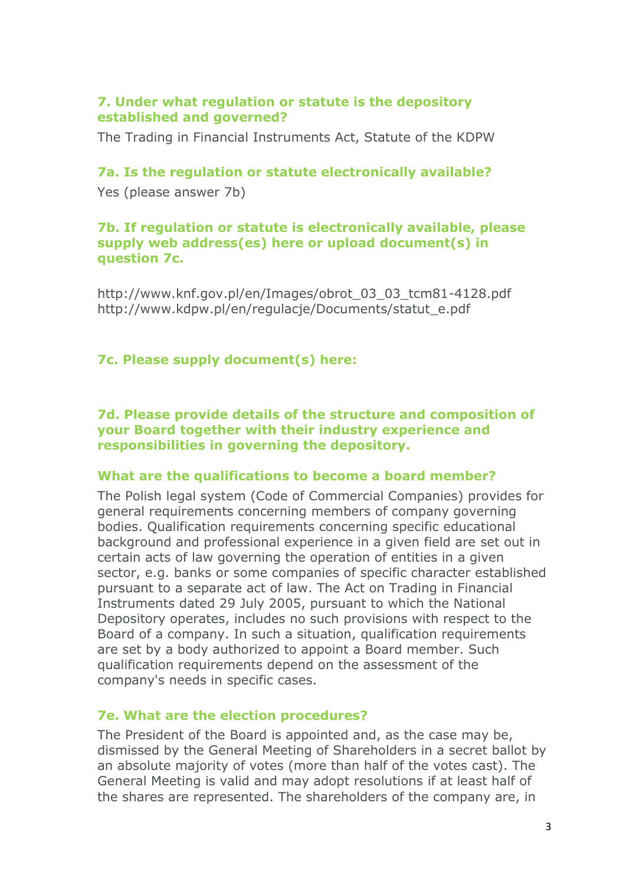## **7. Under what regulation or statute is the depository established and governed?**

The Trading in Financial Instruments Act, Statute of the KDPW

#### **7a. Is the regulation or statute electronically available?**

Yes (please answer 7b)

#### **7b. If regulation or statute is electronically available, please supply web address(es) here or upload document(s) in question 7c.**

http://www.knf.gov.pl/en/Images/obrot\_03\_03\_tcm81-4128.pdf http://www.kdpw.pl/en/regulacje/Documents/statut\_e.pdf

## **7c. Please supply document(s) here:**

**7d. Please provide details of the structure and composition of your Board together with their industry experience and responsibilities in governing the depository.**

#### **What are the qualifications to become a board member?**

The Polish legal system (Code of Commercial Companies) provides for general requirements concerning members of company governing bodies. Qualification requirements concerning specific educational background and professional experience in a given field are set out in certain acts of law governing the operation of entities in a given sector, e.g. banks or some companies of specific character established pursuant to a separate act of law. The Act on Trading in Financial Instruments dated 29 July 2005, pursuant to which the National Depository operates, includes no such provisions with respect to the Board of a company. In such a situation, qualification requirements are set by a body authorized to appoint a Board member. Such qualification requirements depend on the assessment of the company's needs in specific cases.

## **7e. What are the election procedures?**

The President of the Board is appointed and, as the case may be, dismissed by the General Meeting of Shareholders in a secret ballot by an absolute majority of votes (more than half of the votes cast). The General Meeting is valid and may adopt resolutions if at least half of the shares are represented. The shareholders of the company are, in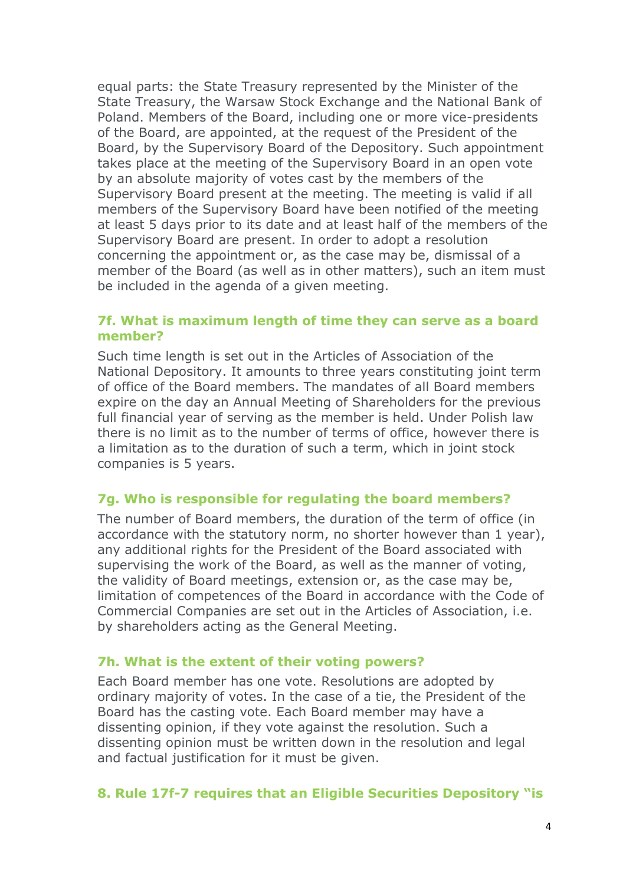equal parts: the State Treasury represented by the Minister of the State Treasury, the Warsaw Stock Exchange and the National Bank of Poland. Members of the Board, including one or more vice-presidents of the Board, are appointed, at the request of the President of the Board, by the Supervisory Board of the Depository. Such appointment takes place at the meeting of the Supervisory Board in an open vote by an absolute majority of votes cast by the members of the Supervisory Board present at the meeting. The meeting is valid if all members of the Supervisory Board have been notified of the meeting at least 5 days prior to its date and at least half of the members of the Supervisory Board are present. In order to adopt a resolution concerning the appointment or, as the case may be, dismissal of a member of the Board (as well as in other matters), such an item must be included in the agenda of a given meeting.

## **7f. What is maximum length of time they can serve as a board member?**

Such time length is set out in the Articles of Association of the National Depository. It amounts to three years constituting joint term of office of the Board members. The mandates of all Board members expire on the day an Annual Meeting of Shareholders for the previous full financial year of serving as the member is held. Under Polish law there is no limit as to the number of terms of office, however there is a limitation as to the duration of such a term, which in joint stock companies is 5 years.

#### **7g. Who is responsible for regulating the board members?**

The number of Board members, the duration of the term of office (in accordance with the statutory norm, no shorter however than 1 year), any additional rights for the President of the Board associated with supervising the work of the Board, as well as the manner of voting, the validity of Board meetings, extension or, as the case may be, limitation of competences of the Board in accordance with the Code of Commercial Companies are set out in the Articles of Association, i.e. by shareholders acting as the General Meeting.

#### **7h. What is the extent of their voting powers?**

Each Board member has one vote. Resolutions are adopted by ordinary majority of votes. In the case of a tie, the President of the Board has the casting vote. Each Board member may have a dissenting opinion, if they vote against the resolution. Such a dissenting opinion must be written down in the resolution and legal and factual justification for it must be given.

## **8. Rule 17f-7 requires that an Eligible Securities Depository "is**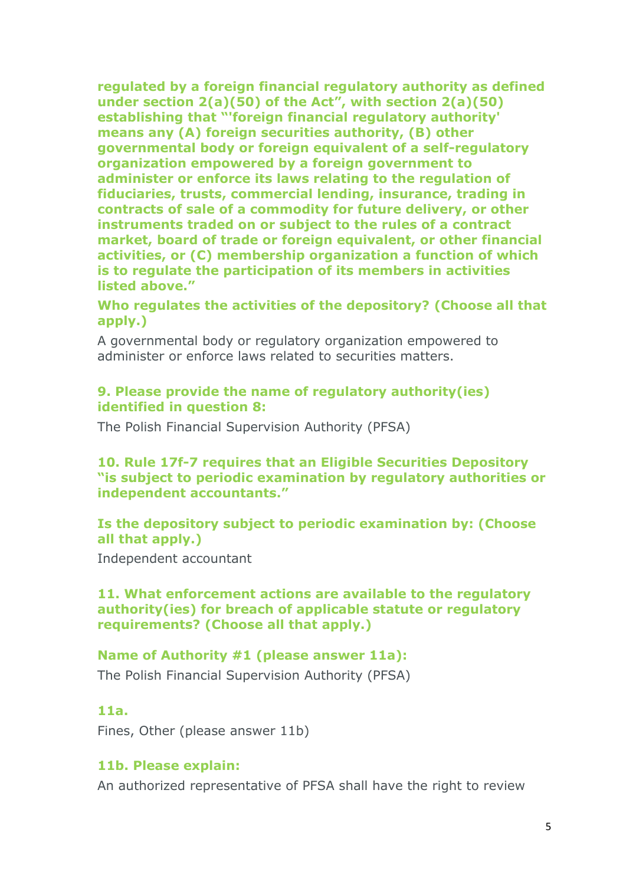**regulated by a foreign financial regulatory authority as defined under section 2(a)(50) of the Act", with section 2(a)(50) establishing that "'foreign financial regulatory authority' means any (A) foreign securities authority, (B) other governmental body or foreign equivalent of a self-regulatory organization empowered by a foreign government to administer or enforce its laws relating to the regulation of fiduciaries, trusts, commercial lending, insurance, trading in contracts of sale of a commodity for future delivery, or other instruments traded on or subject to the rules of a contract market, board of trade or foreign equivalent, or other financial activities, or (C) membership organization a function of which is to regulate the participation of its members in activities listed above."**

**Who regulates the activities of the depository? (Choose all that apply.)**

A governmental body or regulatory organization empowered to administer or enforce laws related to securities matters.

## **9. Please provide the name of regulatory authority(ies) identified in question 8:**

The Polish Financial Supervision Authority (PFSA)

# **10. Rule 17f-7 requires that an Eligible Securities Depository "is subject to periodic examination by regulatory authorities or independent accountants."**

# **Is the depository subject to periodic examination by: (Choose all that apply.)**

Independent accountant

# **11. What enforcement actions are available to the regulatory authority(ies) for breach of applicable statute or regulatory requirements? (Choose all that apply.)**

# **Name of Authority #1 (please answer 11a):**

The Polish Financial Supervision Authority (PFSA)

# **11a.**

Fines, Other (please answer 11b)

# **11b. Please explain:**

An authorized representative of PFSA shall have the right to review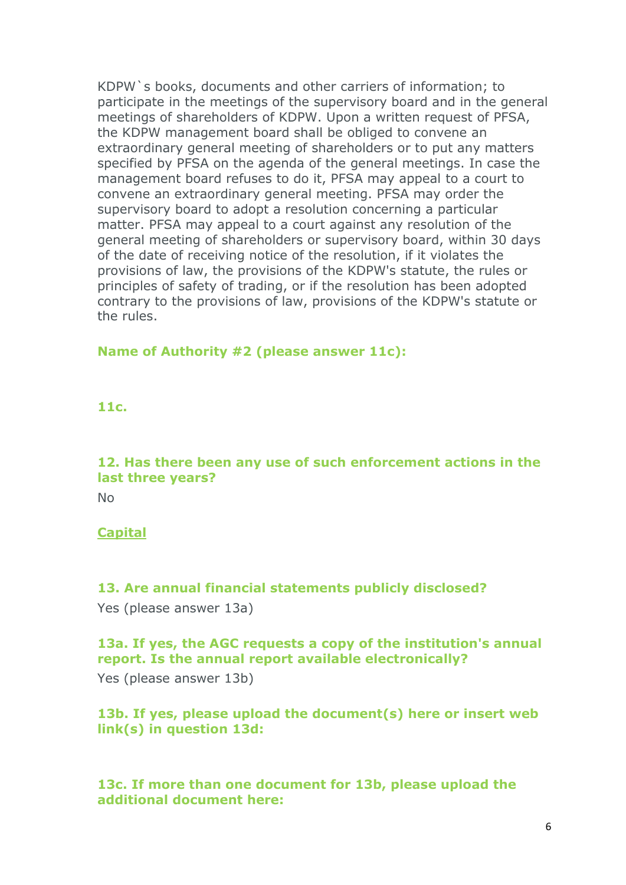KDPW`s books, documents and other carriers of information; to participate in the meetings of the supervisory board and in the general meetings of shareholders of KDPW. Upon a written request of PFSA, the KDPW management board shall be obliged to convene an extraordinary general meeting of shareholders or to put any matters specified by PFSA on the agenda of the general meetings. In case the management board refuses to do it, PFSA may appeal to a court to convene an extraordinary general meeting. PFSA may order the supervisory board to adopt a resolution concerning a particular matter. PFSA may appeal to a court against any resolution of the general meeting of shareholders or supervisory board, within 30 days of the date of receiving notice of the resolution, if it violates the provisions of law, the provisions of the KDPW's statute, the rules or principles of safety of trading, or if the resolution has been adopted contrary to the provisions of law, provisions of the KDPW's statute or the rules.

#### **Name of Authority #2 (please answer 11c):**

#### **11c.**

# **12. Has there been any use of such enforcement actions in the last three years?**

No

# **Capital**

# **13. Are annual financial statements publicly disclosed?**

Yes (please answer 13a)

# **13a. If yes, the AGC requests a copy of the institution's annual report. Is the annual report available electronically?**

Yes (please answer 13b)

# **13b. If yes, please upload the document(s) here or insert web link(s) in question 13d:**

# **13c. If more than one document for 13b, please upload the additional document here:**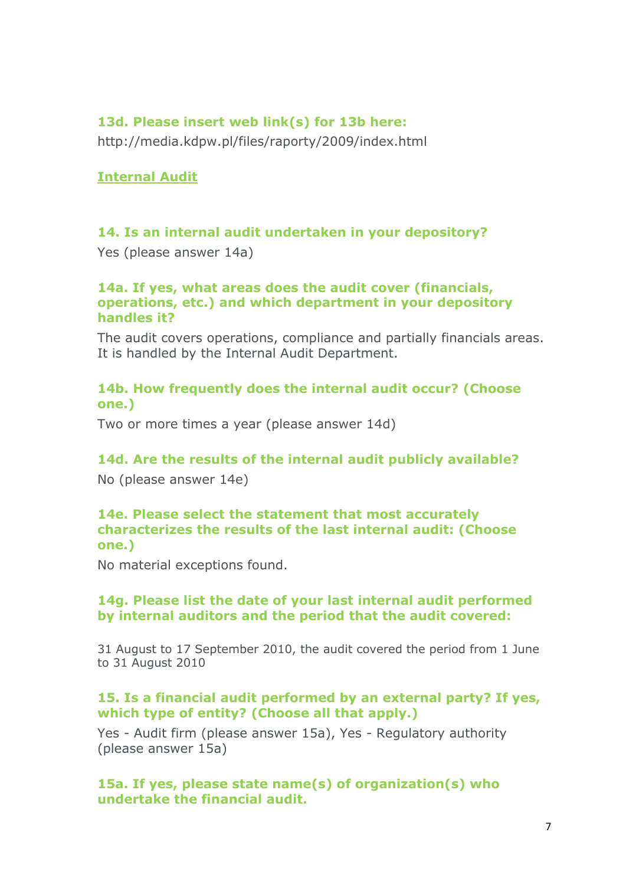## **13d. Please insert web link(s) for 13b here:**

http://media.kdpw.pl/files/raporty/2009/index.html

#### **Internal Audit**

#### **14. Is an internal audit undertaken in your depository?**

Yes (please answer 14a)

#### **14a. If yes, what areas does the audit cover (financials, operations, etc.) and which department in your depository handles it?**

The audit covers operations, compliance and partially financials areas. It is handled by the Internal Audit Department.

## **14b. How frequently does the internal audit occur? (Choose one.)**

Two or more times a year (please answer 14d)

#### **14d. Are the results of the internal audit publicly available?**

No (please answer 14e)

#### **14e. Please select the statement that most accurately characterizes the results of the last internal audit: (Choose one.)**

No material exceptions found.

#### **14g. Please list the date of your last internal audit performed by internal auditors and the period that the audit covered:**

31 August to 17 September 2010, the audit covered the period from 1 June to 31 August 2010

#### **15. Is a financial audit performed by an external party? If yes, which type of entity? (Choose all that apply.)**

Yes - Audit firm (please answer 15a), Yes - Regulatory authority (please answer 15a)

**15a. If yes, please state name(s) of organization(s) who undertake the financial audit.**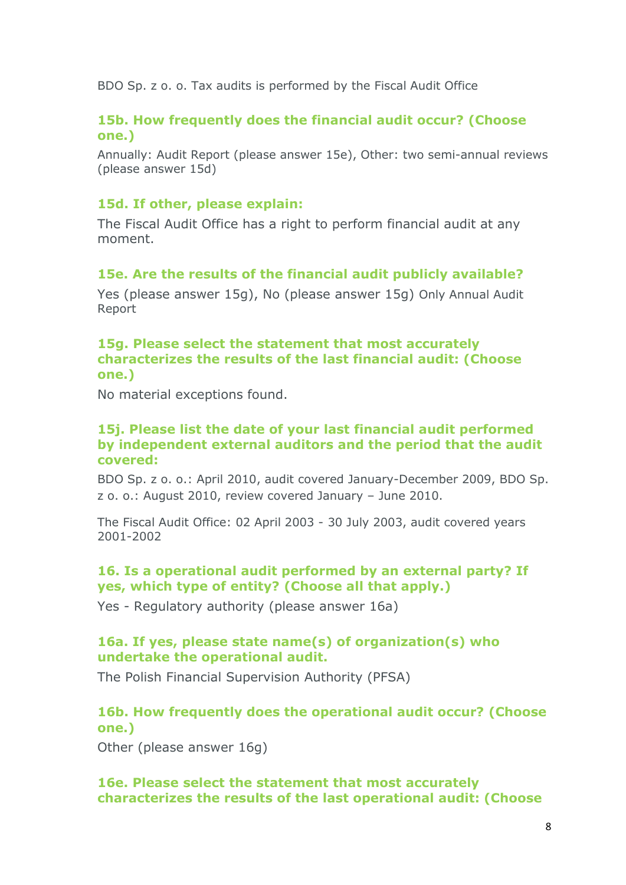BDO Sp. z o. o. Tax audits is performed by the Fiscal Audit Office

## **15b. How frequently does the financial audit occur? (Choose one.)**

Annually: Audit Report (please answer 15e), Other: two semi-annual reviews (please answer 15d)

#### **15d. If other, please explain:**

The Fiscal Audit Office has a right to perform financial audit at any moment.

#### **15e. Are the results of the financial audit publicly available?**

Yes (please answer 15g), No (please answer 15g) Only Annual Audit Report

#### **15g. Please select the statement that most accurately characterizes the results of the last financial audit: (Choose one.)**

No material exceptions found.

#### **15j. Please list the date of your last financial audit performed by independent external auditors and the period that the audit covered:**

BDO Sp. z o. o.: April 2010, audit covered January-December 2009, BDO Sp. z o. o.: August 2010, review covered January – June 2010.

The Fiscal Audit Office: 02 April 2003 - 30 July 2003, audit covered years 2001-2002

# **16. Is a operational audit performed by an external party? If yes, which type of entity? (Choose all that apply.)**

Yes - Regulatory authority (please answer 16a)

# **16a. If yes, please state name(s) of organization(s) who undertake the operational audit.**

The Polish Financial Supervision Authority (PFSA)

# **16b. How frequently does the operational audit occur? (Choose one.)**

Other (please answer 16g)

## **16e. Please select the statement that most accurately characterizes the results of the last operational audit: (Choose**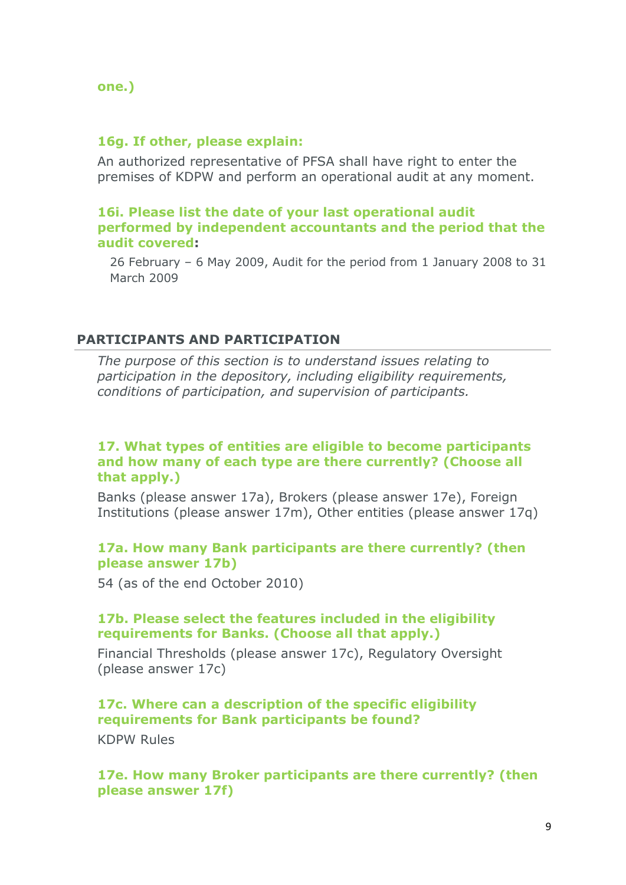**one.)**

#### **16g. If other, please explain:**

An authorized representative of PFSA shall have right to enter the premises of KDPW and perform an operational audit at any moment.

#### **16i. Please list the date of your last operational audit performed by independent accountants and the period that the audit covered:**

26 February – 6 May 2009, Audit for the period from 1 January 2008 to 31 March 2009

#### **PARTICIPANTS AND PARTICIPATION**

*The purpose of this section is to understand issues relating to participation in the depository, including eligibility requirements, conditions of participation, and supervision of participants.*

#### **17. What types of entities are eligible to become participants and how many of each type are there currently? (Choose all that apply.)**

Banks (please answer 17a), Brokers (please answer 17e), Foreign Institutions (please answer 17m), Other entities (please answer 17q)

## **17a. How many Bank participants are there currently? (then please answer 17b)**

54 (as of the end October 2010)

#### **17b. Please select the features included in the eligibility requirements for Banks. (Choose all that apply.)**

Financial Thresholds (please answer 17c), Regulatory Oversight (please answer 17c)

## **17c. Where can a description of the specific eligibility requirements for Bank participants be found?** KDPW Rules

**17e. How many Broker participants are there currently? (then please answer 17f)**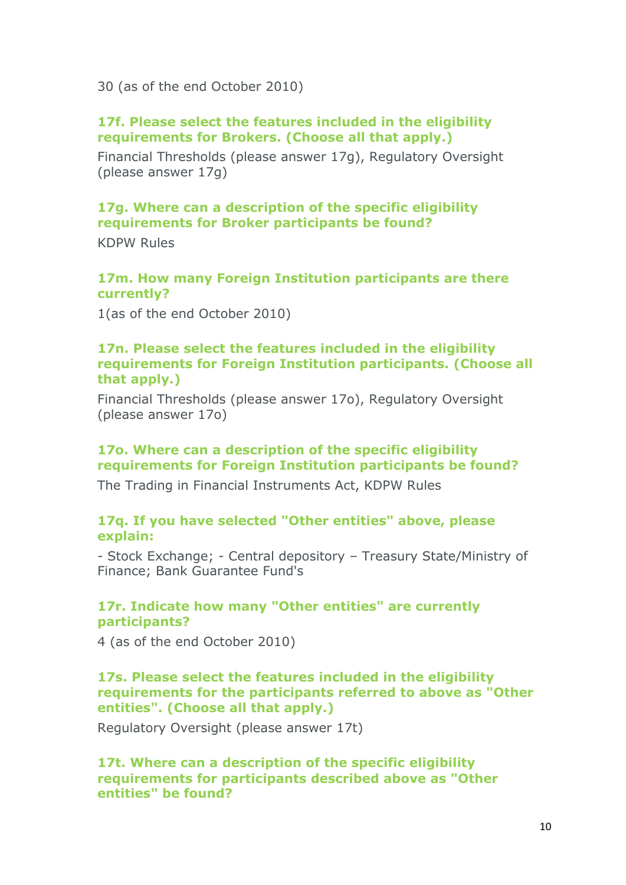30 (as of the end October 2010)

## **17f. Please select the features included in the eligibility requirements for Brokers. (Choose all that apply.)**

Financial Thresholds (please answer 17g), Regulatory Oversight (please answer 17g)

# **17g. Where can a description of the specific eligibility requirements for Broker participants be found?**

KDPW Rules

#### **17m. How many Foreign Institution participants are there currently?**

1(as of the end October 2010)

#### **17n. Please select the features included in the eligibility requirements for Foreign Institution participants. (Choose all that apply.)**

Financial Thresholds (please answer 17o), Regulatory Oversight (please answer 17o)

# **17o. Where can a description of the specific eligibility requirements for Foreign Institution participants be found?**

The Trading in Financial Instruments Act, KDPW Rules

#### **17q. If you have selected "Other entities" above, please explain:**

- Stock Exchange; - Central depository – Treasury State/Ministry of Finance; [Bank Guarantee Fund's](http://www.bfg.pl/?a_id=788)

# **17r. Indicate how many "Other entities" are currently participants?**

4 (as of the end October 2010)

#### **17s. Please select the features included in the eligibility requirements for the participants referred to above as "Other entities". (Choose all that apply.)**

Regulatory Oversight (please answer 17t)

**17t. Where can a description of the specific eligibility requirements for participants described above as "Other entities" be found?**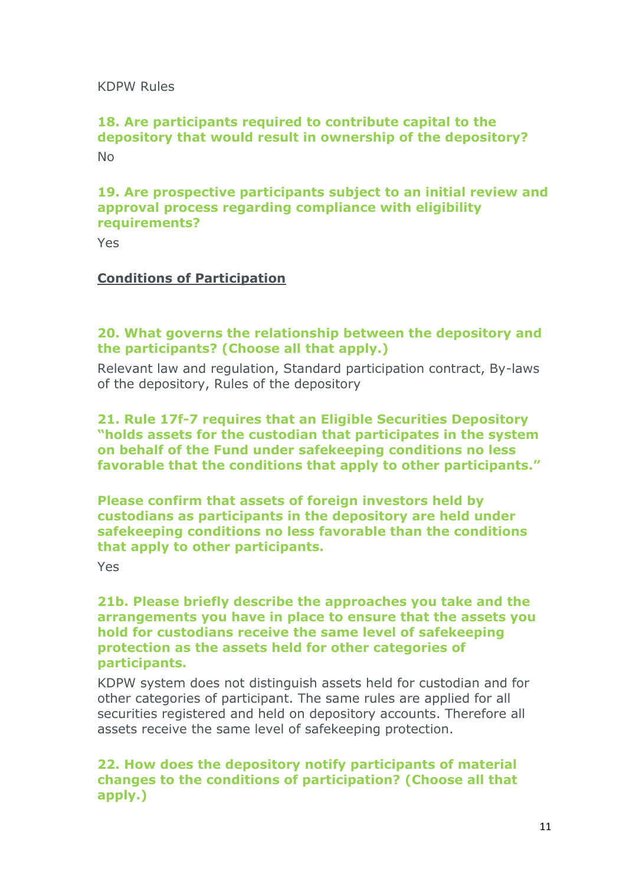KDPW Rules

# **18. Are participants required to contribute capital to the depository that would result in ownership of the depository?** No

# **19. Are prospective participants subject to an initial review and approval process regarding compliance with eligibility requirements?**

Yes

## **Conditions of Participation**

## **20. What governs the relationship between the depository and the participants? (Choose all that apply.)**

Relevant law and regulation, Standard participation contract, By-laws of the depository, Rules of the depository

#### **21. Rule 17f-7 requires that an Eligible Securities Depository "holds assets for the custodian that participates in the system on behalf of the Fund under safekeeping conditions no less favorable that the conditions that apply to other participants."**

**Please confirm that assets of foreign investors held by custodians as participants in the depository are held under safekeeping conditions no less favorable than the conditions that apply to other participants.**

Yes

#### **21b. Please briefly describe the approaches you take and the arrangements you have in place to ensure that the assets you hold for custodians receive the same level of safekeeping protection as the assets held for other categories of participants.**

KDPW system does not distinguish assets held for custodian and for other categories of participant. The same rules are applied for all securities registered and held on depository accounts. Therefore all assets receive the same level of safekeeping protection.

# **22. How does the depository notify participants of material changes to the conditions of participation? (Choose all that apply.)**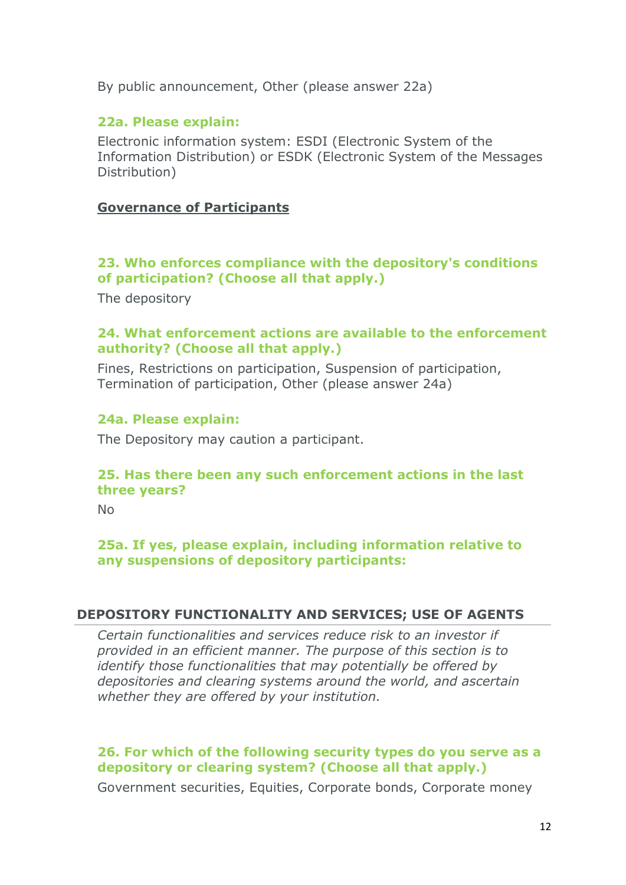By public announcement, Other (please answer 22a)

## **22a. Please explain:**

Electronic information system: ESDI (Electronic System of the Information Distribution) or ESDK (Electronic System of the Messages Distribution)

## **Governance of Participants**

# **23. Who enforces compliance with the depository's conditions of participation? (Choose all that apply.)**

The depository

## **24. What enforcement actions are available to the enforcement authority? (Choose all that apply.)**

Fines, Restrictions on participation, Suspension of participation, Termination of participation, Other (please answer 24a)

## **24a. Please explain:**

The Depository may caution a participant.

# **25. Has there been any such enforcement actions in the last three years?**

No

# **25a. If yes, please explain, including information relative to any suspensions of depository participants:**

## **DEPOSITORY FUNCTIONALITY AND SERVICES; USE OF AGENTS**

*Certain functionalities and services reduce risk to an investor if provided in an efficient manner. The purpose of this section is to identify those functionalities that may potentially be offered by depositories and clearing systems around the world, and ascertain whether they are offered by your institution.*

# **26. For which of the following security types do you serve as a depository or clearing system? (Choose all that apply.)**

Government securities, Equities, Corporate bonds, Corporate money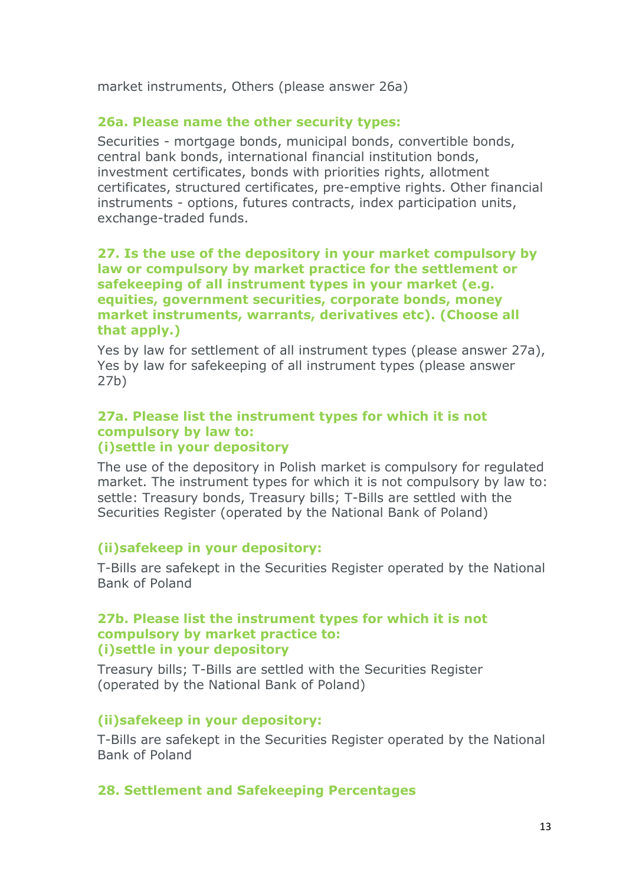market instruments, Others (please answer 26a)

#### **26a. Please name the other security types:**

Securities - mortgage bonds, municipal bonds, convertible bonds, central bank bonds, international financial institution bonds, investment certificates, bonds with priorities rights, allotment certificates, structured certificates, pre-emptive rights. Other financial instruments - options, futures contracts, index participation units, exchange-traded funds.

#### **27. Is the use of the depository in your market compulsory by law or compulsory by market practice for the settlement or safekeeping of all instrument types in your market (e.g. equities, government securities, corporate bonds, money market instruments, warrants, derivatives etc). (Choose all that apply.)**

Yes by law for settlement of all instrument types (please answer 27a), Yes by law for safekeeping of all instrument types (please answer 27b)

#### **27a. Please list the instrument types for which it is not compulsory by law to: (i)settle in your depository**

The use of the depository in Polish market is compulsory for regulated market. The instrument types for which it is not compulsory by law to: settle: Treasury bonds, Treasury bills; T-Bills are settled with the Securities Register (operated by the National Bank of Poland)

## **(ii)safekeep in your depository:**

T-Bills are safekept in the Securities Register operated by the National Bank of Poland

#### **27b. Please list the instrument types for which it is not compulsory by market practice to: (i)settle in your depository**

Treasury bills; T-Bills are settled with the Securities Register (operated by the National Bank of Poland)

#### **(ii)safekeep in your depository:**

T-Bills are safekept in the Securities Register operated by the National Bank of Poland

#### **28. Settlement and Safekeeping Percentages**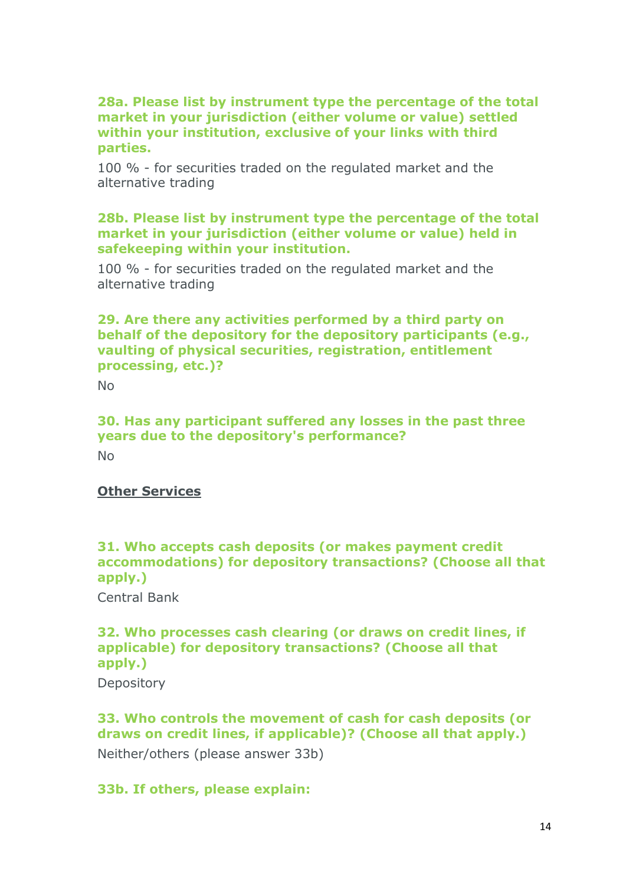#### **28a. Please list by instrument type the percentage of the total market in your jurisdiction (either volume or value) settled within your institution, exclusive of your links with third parties.**

100 % - for securities traded on the regulated market and the alternative trading

## **28b. Please list by instrument type the percentage of the total market in your jurisdiction (either volume or value) held in safekeeping within your institution.**

100 % - for securities traded on the regulated market and the alternative trading

## **29. Are there any activities performed by a third party on behalf of the depository for the depository participants (e.g., vaulting of physical securities, registration, entitlement processing, etc.)?**

No

# **30. Has any participant suffered any losses in the past three years due to the depository's performance?**

No

# **Other Services**

# **31. Who accepts cash deposits (or makes payment credit accommodations) for depository transactions? (Choose all that apply.)**

Central Bank

# **32. Who processes cash clearing (or draws on credit lines, if applicable) for depository transactions? (Choose all that apply.)**

**Depository** 

# **33. Who controls the movement of cash for cash deposits (or draws on credit lines, if applicable)? (Choose all that apply.)** Neither/others (please answer 33b)

# **33b. If others, please explain:**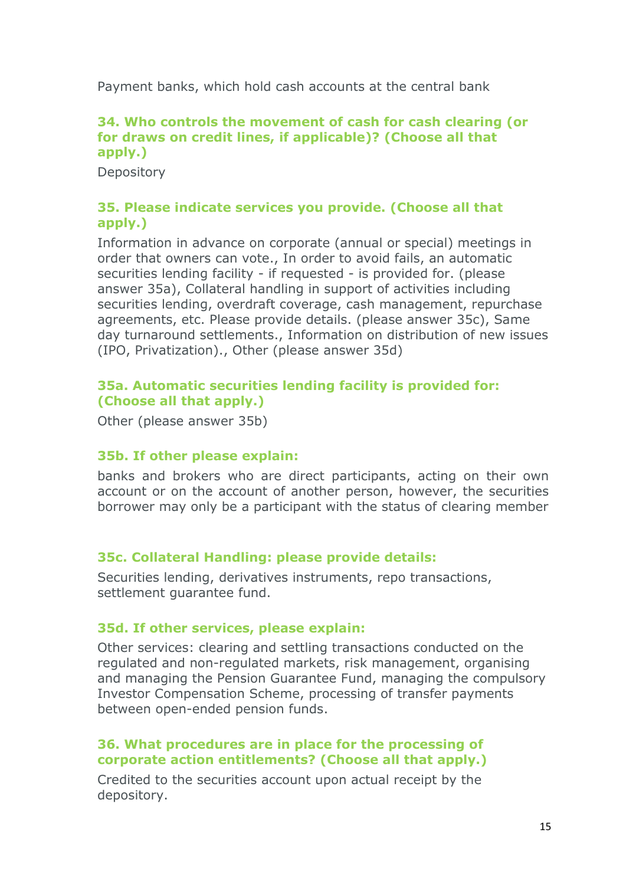Payment banks, which hold cash accounts at the central bank

# **34. Who controls the movement of cash for cash clearing (or for draws on credit lines, if applicable)? (Choose all that apply.)**

**Depository** 

# **35. Please indicate services you provide. (Choose all that apply.)**

Information in advance on corporate (annual or special) meetings in order that owners can vote., In order to avoid fails, an automatic securities lending facility - if requested - is provided for. (please answer 35a), Collateral handling in support of activities including securities lending, overdraft coverage, cash management, repurchase agreements, etc. Please provide details. (please answer 35c), Same day turnaround settlements., Information on distribution of new issues (IPO, Privatization)., Other (please answer 35d)

# **35a. Automatic securities lending facility is provided for: (Choose all that apply.)**

Other (please answer 35b)

## **35b. If other please explain:**

banks and brokers who are direct participants, acting on their own account or on the account of another person, however, the securities borrower may only be a participant with the status of clearing member

# **35c. Collateral Handling: please provide details:**

Securities lending, derivatives instruments, repo transactions, settlement guarantee fund.

## **35d. If other services, please explain:**

Other services: clearing and settling transactions conducted on the regulated and non-regulated markets, risk management, organising and managing the Pension Guarantee Fund, managing the compulsory Investor Compensation Scheme, processing of transfer payments between open-ended pension funds.

# **36. What procedures are in place for the processing of corporate action entitlements? (Choose all that apply.)**

Credited to the securities account upon actual receipt by the depository.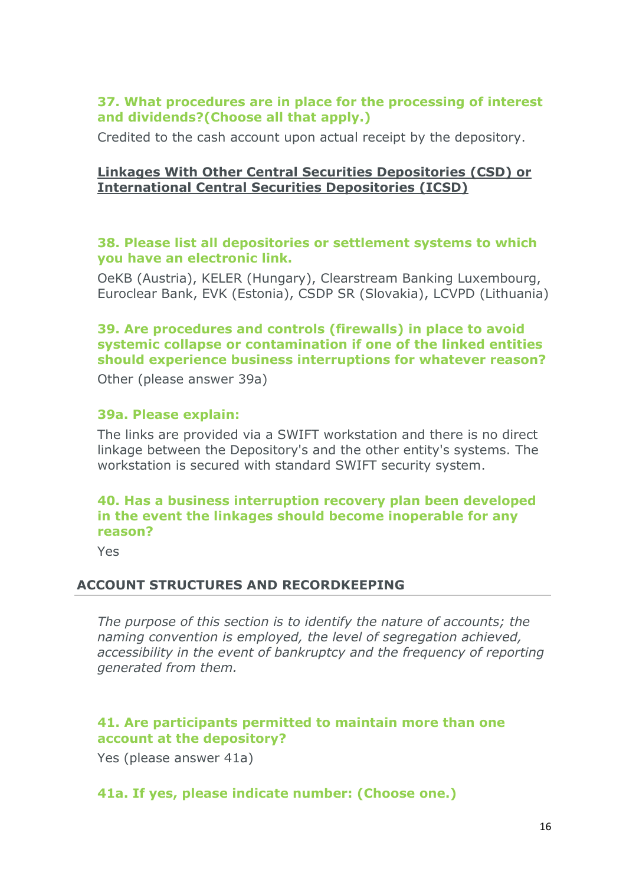#### **37. What procedures are in place for the processing of interest and dividends?(Choose all that apply.)**

Credited to the cash account upon actual receipt by the depository.

## **Linkages With Other Central Securities Depositories (CSD) or International Central Securities Depositories (ICSD)**

#### **38. Please list all depositories or settlement systems to which you have an electronic link.**

OeKB (Austria), KELER (Hungary), Clearstream Banking Luxembourg, Euroclear Bank, EVK (Estonia), CSDP SR (Slovakia), LCVPD (Lithuania)

# **39. Are procedures and controls (firewalls) in place to avoid systemic collapse or contamination if one of the linked entities should experience business interruptions for whatever reason?**

Other (please answer 39a)

## **39a. Please explain:**

The links are provided via a SWIFT workstation and there is no direct linkage between the Depository's and the other entity's systems. The workstation is secured with standard SWIFT security system.

# **40. Has a business interruption recovery plan been developed in the event the linkages should become inoperable for any reason?**

Yes

## **ACCOUNT STRUCTURES AND RECORDKEEPING**

*The purpose of this section is to identify the nature of accounts; the naming convention is employed, the level of segregation achieved, accessibility in the event of bankruptcy and the frequency of reporting generated from them.*

## **41. Are participants permitted to maintain more than one account at the depository?**

Yes (please answer 41a)

## **41a. If yes, please indicate number: (Choose one.)**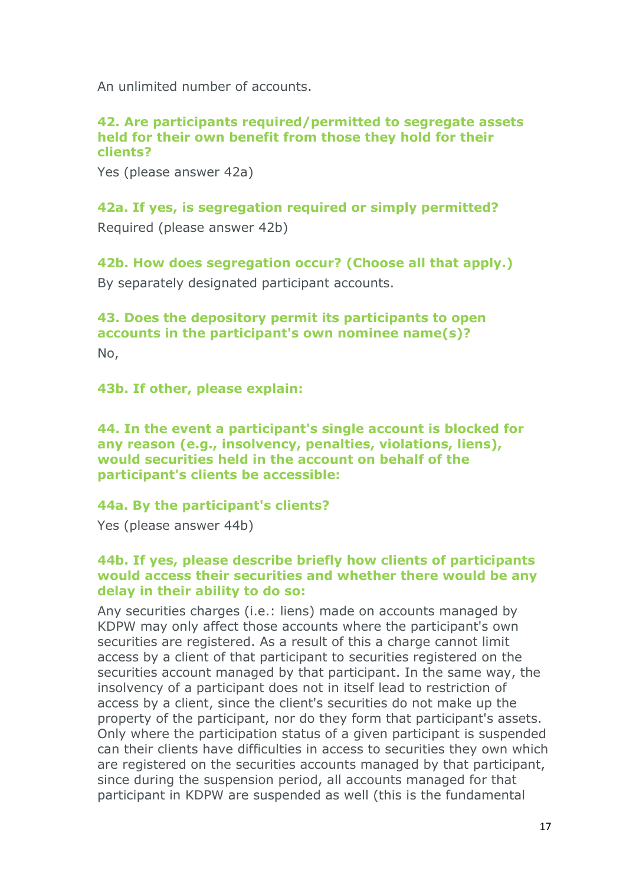An unlimited number of accounts.

#### **42. Are participants required/permitted to segregate assets held for their own benefit from those they hold for their clients?**

Yes (please answer 42a)

**42a. If yes, is segregation required or simply permitted?** Required (please answer 42b)

**42b. How does segregation occur? (Choose all that apply.)** By separately designated participant accounts.

**43. Does the depository permit its participants to open accounts in the participant's own nominee name(s)?** No,

**43b. If other, please explain:**

**44. In the event a participant's single account is blocked for any reason (e.g., insolvency, penalties, violations, liens), would securities held in the account on behalf of the participant's clients be accessible:**

## **44a. By the participant's clients?**

Yes (please answer 44b)

#### **44b. If yes, please describe briefly how clients of participants would access their securities and whether there would be any delay in their ability to do so:**

Any securities charges (i.e.: liens) made on accounts managed by KDPW may only affect those accounts where the participant's own securities are registered. As a result of this a charge cannot limit access by a client of that participant to securities registered on the securities account managed by that participant. In the same way, the insolvency of a participant does not in itself lead to restriction of access by a client, since the client's securities do not make up the property of the participant, nor do they form that participant's assets. Only where the participation status of a given participant is suspended can their clients have difficulties in access to securities they own which are registered on the securities accounts managed by that participant, since during the suspension period, all accounts managed for that participant in KDPW are suspended as well (this is the fundamental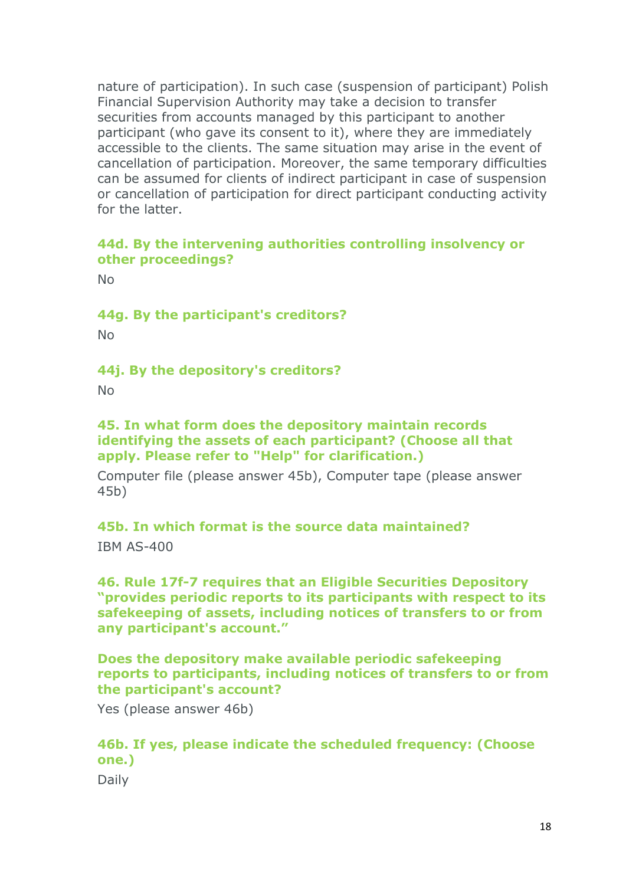nature of participation). In such case (suspension of participant) Polish Financial Supervision Authority may take a decision to transfer securities from accounts managed by this participant to another participant (who gave its consent to it), where they are immediately accessible to the clients. The same situation may arise in the event of cancellation of participation. Moreover, the same temporary difficulties can be assumed for clients of indirect participant in case of suspension or cancellation of participation for direct participant conducting activity for the latter.

## **44d. By the intervening authorities controlling insolvency or other proceedings?**

No

**44g. By the participant's creditors?**

No

## **44j. By the depository's creditors?**

No

## **45. In what form does the depository maintain records identifying the assets of each participant? (Choose all that apply. Please refer to "Help" for clarification.)**

Computer file (please answer 45b), Computer tape (please answer 45b)

## **45b. In which format is the source data maintained?**

IBM AS-400

## **46. Rule 17f-7 requires that an Eligible Securities Depository "provides periodic reports to its participants with respect to its safekeeping of assets, including notices of transfers to or from any participant's account."**

**Does the depository make available periodic safekeeping reports to participants, including notices of transfers to or from the participant's account?**

Yes (please answer 46b)

# **46b. If yes, please indicate the scheduled frequency: (Choose one.)**

Daily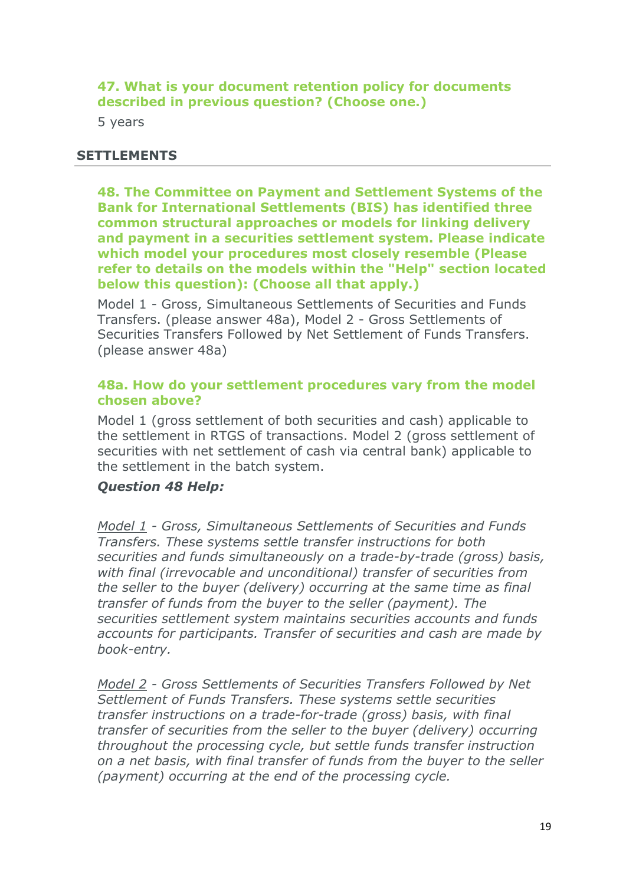**47. What is your document retention policy for documents described in previous question? (Choose one.)**

5 years

## **SETTLEMENTS**

**48. The Committee on Payment and Settlement Systems of the Bank for International Settlements (BIS) has identified three common structural approaches or models for linking delivery and payment in a securities settlement system. Please indicate which model your procedures most closely resemble (Please refer to details on the models within the "Help" section located below this question): (Choose all that apply.)**

Model 1 - Gross, Simultaneous Settlements of Securities and Funds Transfers. (please answer 48a), Model 2 - Gross Settlements of Securities Transfers Followed by Net Settlement of Funds Transfers. (please answer 48a)

#### **48a. How do your settlement procedures vary from the model chosen above?**

Model 1 (gross settlement of both securities and cash) applicable to the settlement in RTGS of transactions. Model 2 (gross settlement of securities with net settlement of cash via central bank) applicable to the settlement in the batch system.

## *Question 48 Help:*

*Model 1 - Gross, Simultaneous Settlements of Securities and Funds Transfers. These systems settle transfer instructions for both securities and funds simultaneously on a trade-by-trade (gross) basis, with final (irrevocable and unconditional) transfer of securities from the seller to the buyer (delivery) occurring at the same time as final transfer of funds from the buyer to the seller (payment). The securities settlement system maintains securities accounts and funds accounts for participants. Transfer of securities and cash are made by book-entry.*

*Model 2 - Gross Settlements of Securities Transfers Followed by Net Settlement of Funds Transfers. These systems settle securities transfer instructions on a trade-for-trade (gross) basis, with final transfer of securities from the seller to the buyer (delivery) occurring throughout the processing cycle, but settle funds transfer instruction on a net basis, with final transfer of funds from the buyer to the seller (payment) occurring at the end of the processing cycle.*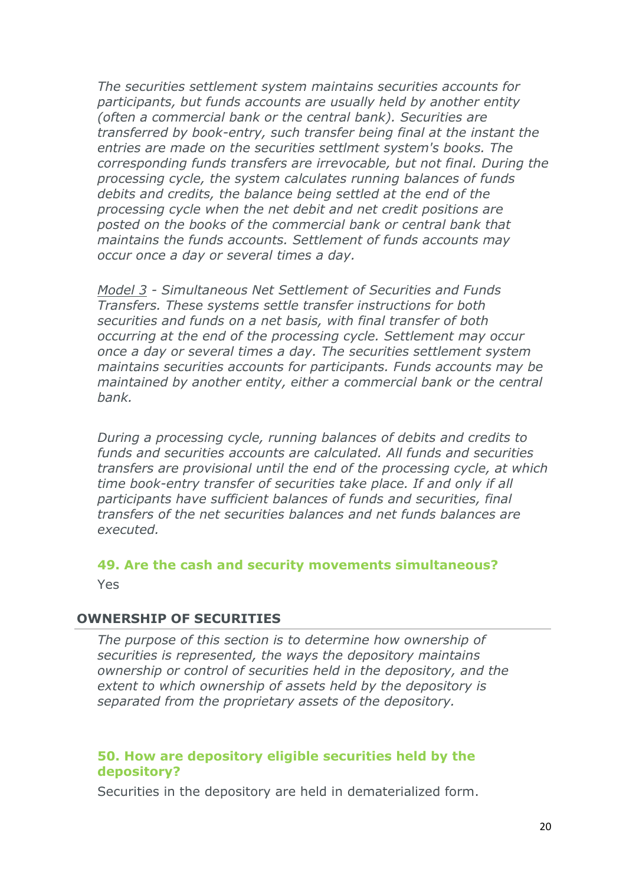*The securities settlement system maintains securities accounts for participants, but funds accounts are usually held by another entity (often a commercial bank or the central bank). Securities are transferred by book-entry, such transfer being final at the instant the entries are made on the securities settlment system's books. The corresponding funds transfers are irrevocable, but not final. During the processing cycle, the system calculates running balances of funds debits and credits, the balance being settled at the end of the processing cycle when the net debit and net credit positions are posted on the books of the commercial bank or central bank that maintains the funds accounts. Settlement of funds accounts may occur once a day or several times a day.*

*Model 3 - Simultaneous Net Settlement of Securities and Funds Transfers. These systems settle transfer instructions for both securities and funds on a net basis, with final transfer of both occurring at the end of the processing cycle. Settlement may occur once a day or several times a day. The securities settlement system maintains securities accounts for participants. Funds accounts may be maintained by another entity, either a commercial bank or the central bank.*

*During a processing cycle, running balances of debits and credits to funds and securities accounts are calculated. All funds and securities transfers are provisional until the end of the processing cycle, at which time book-entry transfer of securities take place. If and only if all participants have sufficient balances of funds and securities, final transfers of the net securities balances and net funds balances are executed.*

## **49. Are the cash and security movements simultaneous?** Yes

## **OWNERSHIP OF SECURITIES**

*The purpose of this section is to determine how ownership of securities is represented, the ways the depository maintains ownership or control of securities held in the depository, and the extent to which ownership of assets held by the depository is separated from the proprietary assets of the depository.*

#### **50. How are depository eligible securities held by the depository?**

Securities in the depository are held in dematerialized form.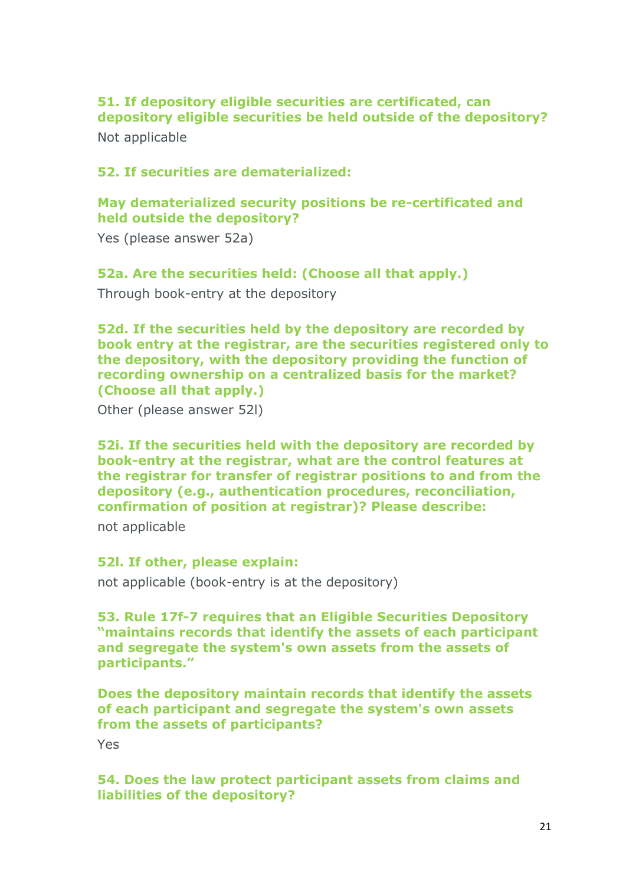# **51. If depository eligible securities are certificated, can depository eligible securities be held outside of the depository?**

Not applicable

# **52. If securities are dematerialized:**

# **May dematerialized security positions be re-certificated and held outside the depository?**

Yes (please answer 52a)

# **52a. Are the securities held: (Choose all that apply.)**

Through book-entry at the depository

**52d. If the securities held by the depository are recorded by book entry at the registrar, are the securities registered only to the depository, with the depository providing the function of recording ownership on a centralized basis for the market? (Choose all that apply.)**

Other (please answer 52l)

**52i. If the securities held with the depository are recorded by book-entry at the registrar, what are the control features at the registrar for transfer of registrar positions to and from the depository (e.g., authentication procedures, reconciliation, confirmation of position at registrar)? Please describe:**

not applicable

## **52l. If other, please explain:**

not applicable (book-entry is at the depository)

**53. Rule 17f-7 requires that an Eligible Securities Depository "maintains records that identify the assets of each participant and segregate the system's own assets from the assets of participants."**

**Does the depository maintain records that identify the assets of each participant and segregate the system's own assets from the assets of participants?**

Yes

**54. Does the law protect participant assets from claims and liabilities of the depository?**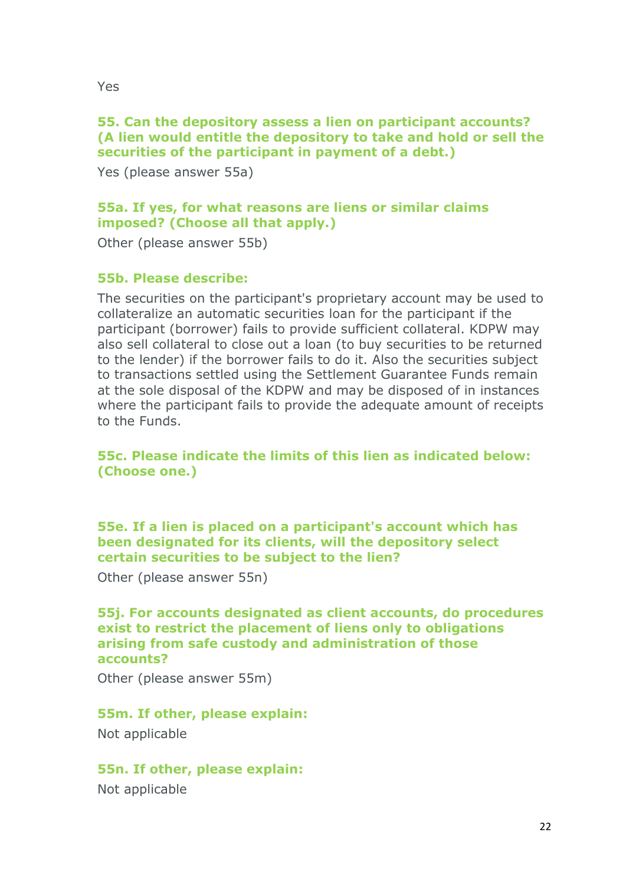## **55. Can the depository assess a lien on participant accounts? (A lien would entitle the depository to take and hold or sell the securities of the participant in payment of a debt.)**

Yes (please answer 55a)

# **55a. If yes, for what reasons are liens or similar claims imposed? (Choose all that apply.)**

Other (please answer 55b)

#### **55b. Please describe:**

The securities on the participant's proprietary account may be used to collateralize an automatic securities loan for the participant if the participant (borrower) fails to provide sufficient collateral. KDPW may also sell collateral to close out a loan (to buy securities to be returned to the lender) if the borrower fails to do it. Also the securities subject to transactions settled using the Settlement Guarantee Funds remain at the sole disposal of the KDPW and may be disposed of in instances where the participant fails to provide the adequate amount of receipts to the Funds.

# **55c. Please indicate the limits of this lien as indicated below: (Choose one.)**

#### **55e. If a lien is placed on a participant's account which has been designated for its clients, will the depository select certain securities to be subject to the lien?**

Other (please answer 55n)

#### **55j. For accounts designated as client accounts, do procedures exist to restrict the placement of liens only to obligations arising from safe custody and administration of those accounts?**

Other (please answer 55m)

## **55m. If other, please explain:**

Not applicable

# **55n. If other, please explain:**

Not applicable

Yes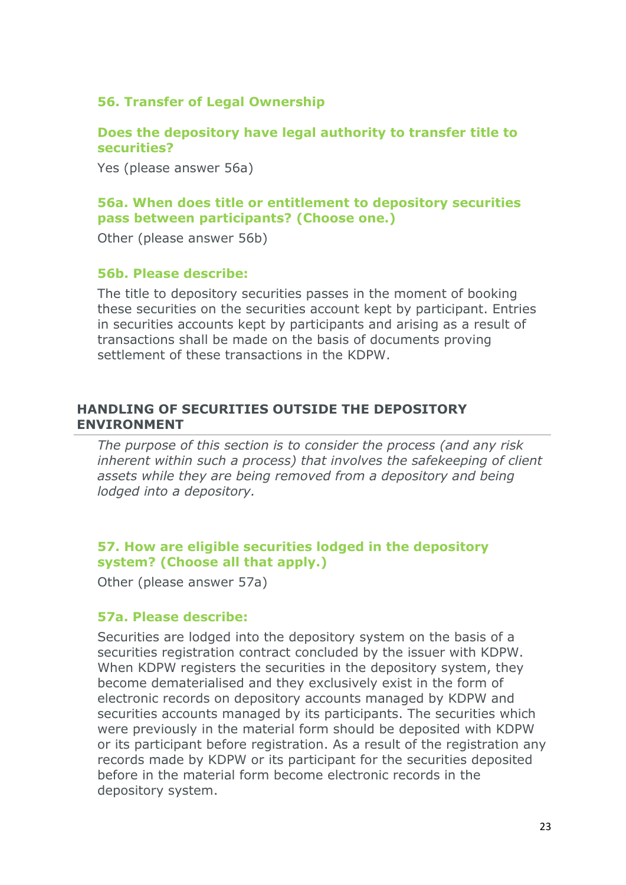# **56. Transfer of Legal Ownership**

## **Does the depository have legal authority to transfer title to securities?**

Yes (please answer 56a)

# **56a. When does title or entitlement to depository securities pass between participants? (Choose one.)**

Other (please answer 56b)

#### **56b. Please describe:**

The title to depository securities passes in the moment of booking these securities on the securities account kept by participant. Entries in securities accounts kept by participants and arising as a result of transactions shall be made on the basis of documents proving settlement of these transactions in the KDPW.

#### **HANDLING OF SECURITIES OUTSIDE THE DEPOSITORY ENVIRONMENT**

*The purpose of this section is to consider the process (and any risk inherent within such a process) that involves the safekeeping of client assets while they are being removed from a depository and being lodged into a depository.*

# **57. How are eligible securities lodged in the depository system? (Choose all that apply.)**

Other (please answer 57a)

## **57a. Please describe:**

Securities are lodged into the depository system on the basis of a securities registration contract concluded by the issuer with KDPW. When KDPW registers the securities in the depository system, they become dematerialised and they exclusively exist in the form of electronic records on depository accounts managed by KDPW and securities accounts managed by its participants. The securities which were previously in the material form should be deposited with KDPW or its participant before registration. As a result of the registration any records made by KDPW or its participant for the securities deposited before in the material form become electronic records in the depository system.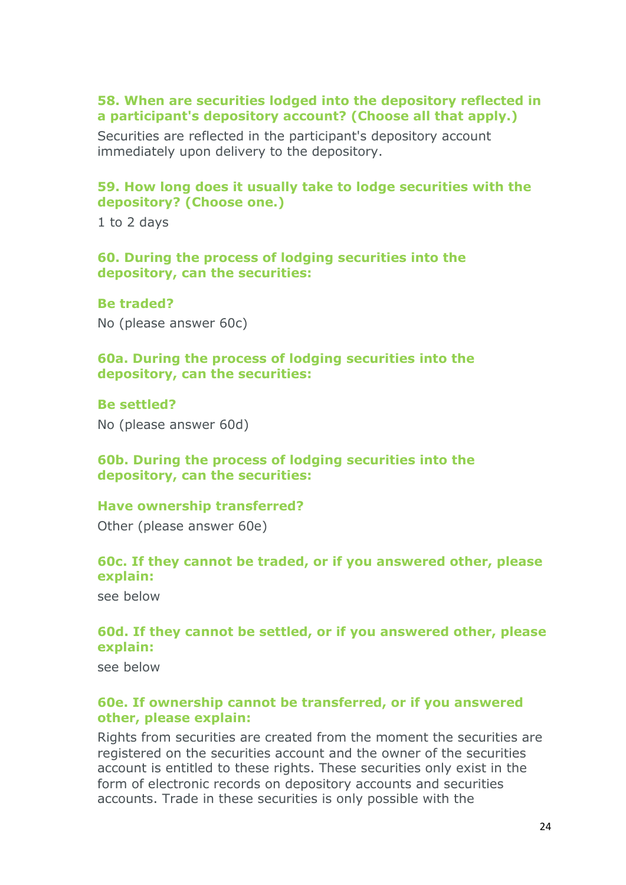#### **58. When are securities lodged into the depository reflected in a participant's depository account? (Choose all that apply.)**

Securities are reflected in the participant's depository account immediately upon delivery to the depository.

## **59. How long does it usually take to lodge securities with the depository? (Choose one.)**

1 to 2 days

#### **60. During the process of lodging securities into the depository, can the securities:**

**Be traded?** No (please answer 60c)

#### **60a. During the process of lodging securities into the depository, can the securities:**

#### **Be settled?**

No (please answer 60d)

## **60b. During the process of lodging securities into the depository, can the securities:**

#### **Have ownership transferred?**

Other (please answer 60e)

## **60c. If they cannot be traded, or if you answered other, please explain:**

see below

# **60d. If they cannot be settled, or if you answered other, please explain:**

see below

#### **60e. If ownership cannot be transferred, or if you answered other, please explain:**

Rights from securities are created from the moment the securities are registered on the securities account and the owner of the securities account is entitled to these rights. These securities only exist in the form of electronic records on depository accounts and securities accounts. Trade in these securities is only possible with the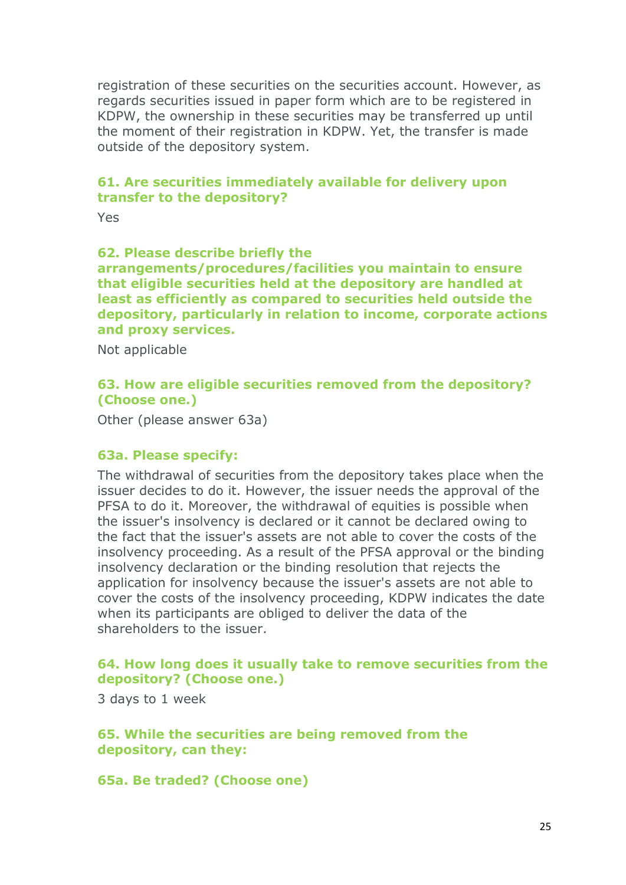registration of these securities on the securities account. However, as regards securities issued in paper form which are to be registered in KDPW, the ownership in these securities may be transferred up until the moment of their registration in KDPW. Yet, the transfer is made outside of the depository system.

## **61. Are securities immediately available for delivery upon transfer to the depository?**

Yes.

#### **62. Please describe briefly the**

**arrangements/procedures/facilities you maintain to ensure that eligible securities held at the depository are handled at least as efficiently as compared to securities held outside the depository, particularly in relation to income, corporate actions and proxy services.**

Not applicable

## **63. How are eligible securities removed from the depository? (Choose one.)**

Other (please answer 63a)

## **63a. Please specify:**

The withdrawal of securities from the depository takes place when the issuer decides to do it. However, the issuer needs the approval of the PFSA to do it. Moreover, the withdrawal of equities is possible when the issuer's insolvency is declared or it cannot be declared owing to the fact that the issuer's assets are not able to cover the costs of the insolvency proceeding. As a result of the PFSA approval or the binding insolvency declaration or the binding resolution that rejects the application for insolvency because the issuer's assets are not able to cover the costs of the insolvency proceeding, KDPW indicates the date when its participants are obliged to deliver the data of the shareholders to the issuer.

## **64. How long does it usually take to remove securities from the depository? (Choose one.)**

3 days to 1 week

**65. While the securities are being removed from the depository, can they:**

**65a. Be traded? (Choose one)**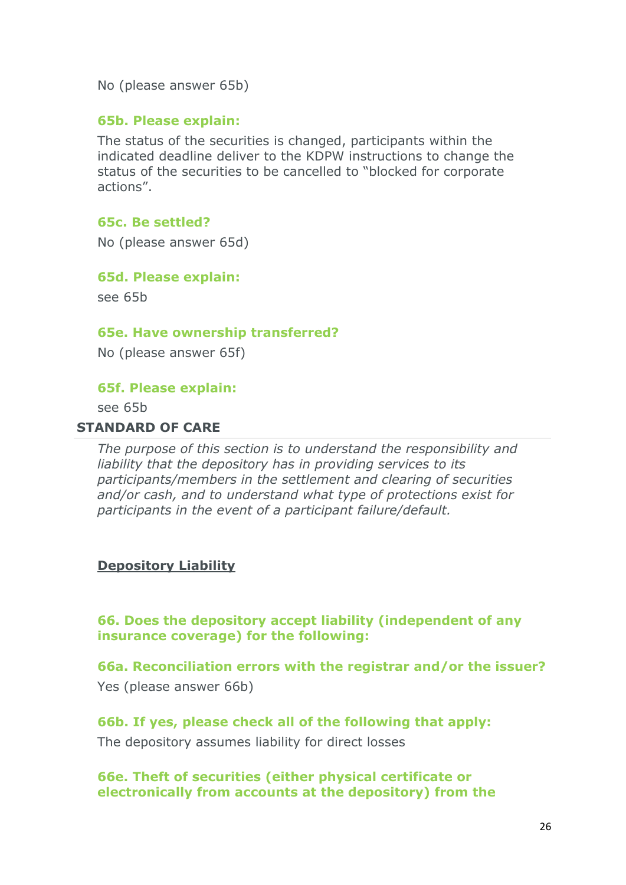No (please answer 65b)

#### **65b. Please explain:**

The status of the securities is changed, participants within the indicated deadline deliver to the KDPW instructions to change the status of the securities to be cancelled to "blocked for corporate actions".

#### **65c. Be settled?**

No (please answer 65d)

#### **65d. Please explain:**

see 65b

#### **65e. Have ownership transferred?**

No (please answer 65f)

#### **65f. Please explain:**

see 65b

#### **STANDARD OF CARE**

*The purpose of this section is to understand the responsibility and liability that the depository has in providing services to its participants/members in the settlement and clearing of securities and/or cash, and to understand what type of protections exist for participants in the event of a participant failure/default.*

#### **Depository Liability**

**66. Does the depository accept liability (independent of any insurance coverage) for the following:**

**66a. Reconciliation errors with the registrar and/or the issuer?** Yes (please answer 66b)

**66b. If yes, please check all of the following that apply:** The depository assumes liability for direct losses

**66e. Theft of securities (either physical certificate or electronically from accounts at the depository) from the**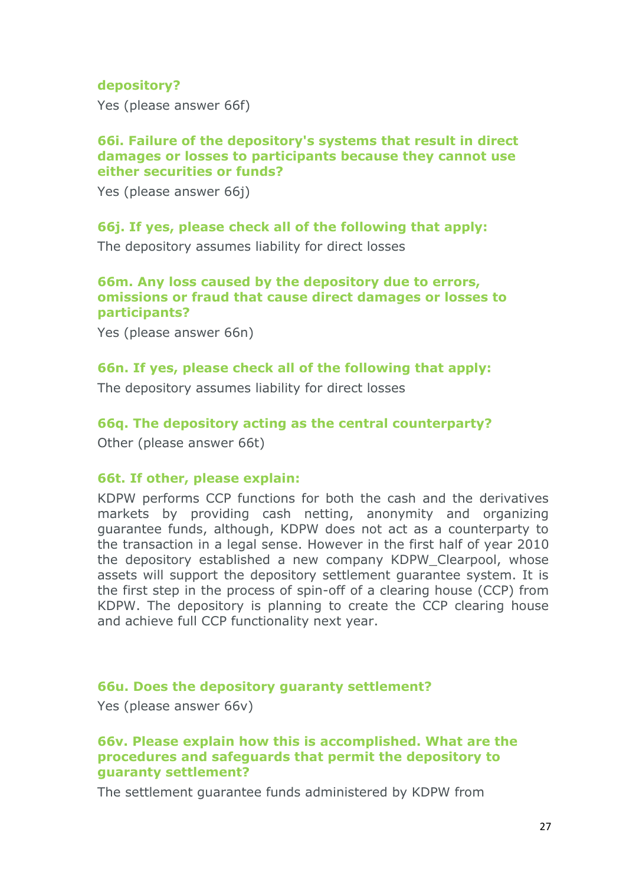## **depository?**

Yes (please answer 66f)

#### **66i. Failure of the depository's systems that result in direct damages or losses to participants because they cannot use either securities or funds?**

Yes (please answer 66j)

#### **66j. If yes, please check all of the following that apply:**

The depository assumes liability for direct losses

## **66m. Any loss caused by the depository due to errors, omissions or fraud that cause direct damages or losses to participants?**

Yes (please answer 66n)

#### **66n. If yes, please check all of the following that apply:**

The depository assumes liability for direct losses

#### **66q. The depository acting as the central counterparty?**

Other (please answer 66t)

#### **66t. If other, please explain:**

KDPW performs CCP functions for both the cash and the derivatives markets by providing cash netting, anonymity and organizing guarantee funds, although, KDPW does not act as a counterparty to the transaction in a legal sense. However in the first half of year 2010 the depository established a new company KDPW\_Clearpool, whose assets will support the depository settlement guarantee system. It is the first step in the process of spin-off of a clearing house (CCP) from KDPW. The depository is planning to create the CCP clearing house and achieve full CCP functionality next year.

#### **66u. Does the depository guaranty settlement?**

Yes (please answer 66v)

#### **66v. Please explain how this is accomplished. What are the procedures and safeguards that permit the depository to guaranty settlement?**

The settlement guarantee funds administered by KDPW from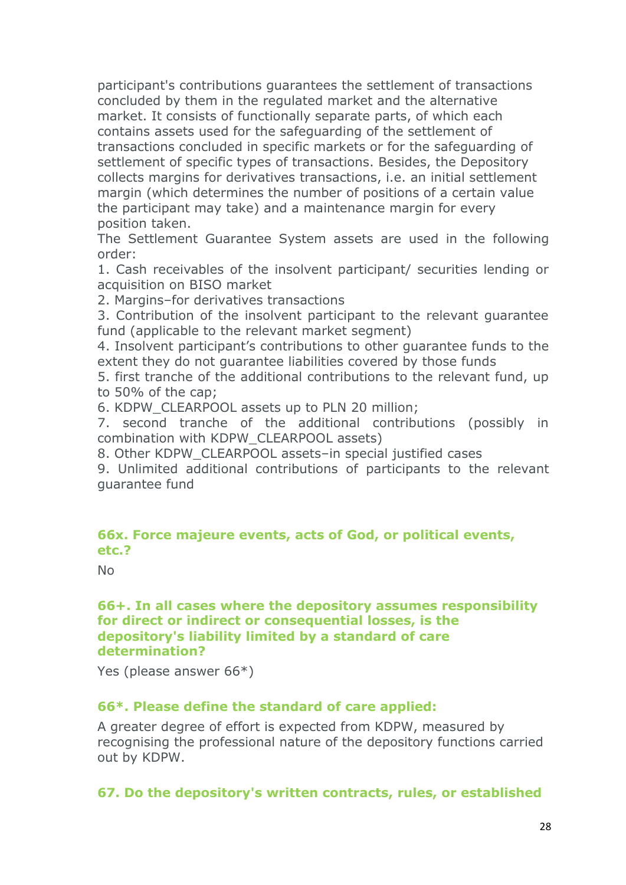participant's contributions guarantees the settlement of transactions concluded by them in the regulated market and the alternative market. It consists of functionally separate parts, of which each contains assets used for the safeguarding of the settlement of transactions concluded in specific markets or for the safeguarding of settlement of specific types of transactions. Besides, the Depository collects margins for derivatives transactions, i.e. an initial settlement margin (which determines the number of positions of a certain value the participant may take) and a maintenance margin for every position taken.

The Settlement Guarantee System assets are used in the following order:

1. Cash receivables of the insolvent participant/ securities lending or acquisition on BISO market

2. Margins–for derivatives transactions

3. Contribution of the insolvent participant to the relevant guarantee fund (applicable to the relevant market segment)

4. Insolvent participant's contributions to other guarantee funds to the extent they do not guarantee liabilities covered by those funds

5. first tranche of the additional contributions to the relevant fund, up to 50% of the cap;

6. KDPW\_CLEARPOOL assets up to PLN 20 million;

7. second tranche of the additional contributions (possibly in combination with KDPW\_CLEARPOOL assets)

8. Other KDPW\_CLEARPOOL assets-in special justified cases

9. Unlimited additional contributions of participants to the relevant guarantee fund

## **66x. Force majeure events, acts of God, or political events, etc.?**

No

## **66+. In all cases where the depository assumes responsibility for direct or indirect or consequential losses, is the depository's liability limited by a standard of care determination?**

Yes (please answer 66\*)

## **66\*. Please define the standard of care applied:**

A greater degree of effort is expected from KDPW, measured by recognising the professional nature of the depository functions carried out by KDPW.

**67. Do the depository's written contracts, rules, or established**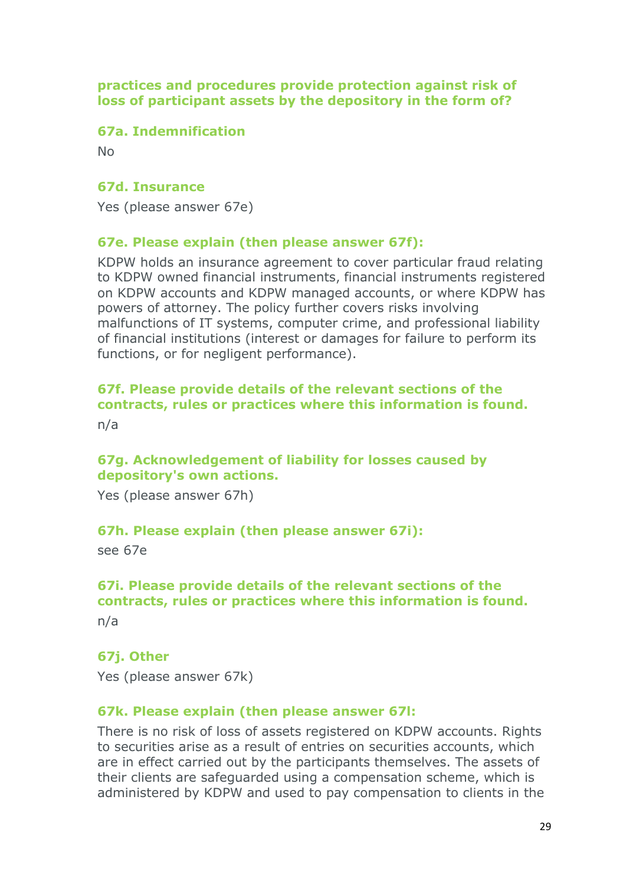**practices and procedures provide protection against risk of loss of participant assets by the depository in the form of?**

#### **67a. Indemnification**

No

#### **67d. Insurance**

Yes (please answer 67e)

#### **67e. Please explain (then please answer 67f):**

KDPW holds an insurance agreement to cover particular fraud relating to KDPW owned financial instruments, financial instruments registered on KDPW accounts and KDPW managed accounts, or where KDPW has powers of attorney. The policy further covers risks involving malfunctions of IT systems, computer crime, and professional liability of financial institutions (interest or damages for failure to perform its functions, or for negligent performance).

# **67f. Please provide details of the relevant sections of the contracts, rules or practices where this information is found.**

n/a

# **67g. Acknowledgement of liability for losses caused by depository's own actions.**

Yes (please answer 67h)

#### **67h. Please explain (then please answer 67i):**

see 67e

# **67i. Please provide details of the relevant sections of the contracts, rules or practices where this information is found.**

n/a

#### **67j. Other**

Yes (please answer 67k)

#### **67k. Please explain (then please answer 67l:**

There is no risk of loss of assets registered on KDPW accounts. Rights to securities arise as a result of entries on securities accounts, which are in effect carried out by the participants themselves. The assets of their clients are safeguarded using a compensation scheme, which is administered by KDPW and used to pay compensation to clients in the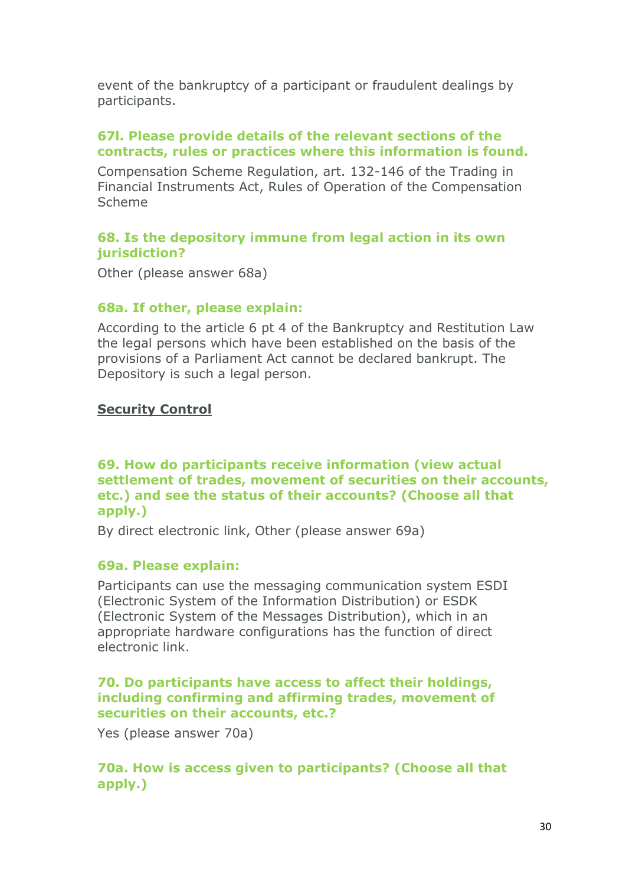event of the bankruptcy of a participant or fraudulent dealings by participants.

# **67l. Please provide details of the relevant sections of the contracts, rules or practices where this information is found.**

Compensation Scheme Regulation, art. 132-146 of the Trading in Financial Instruments Act, Rules of Operation of the Compensation Scheme

# **68. Is the depository immune from legal action in its own jurisdiction?**

Other (please answer 68a)

# **68a. If other, please explain:**

According to the article 6 pt 4 of the Bankruptcy and Restitution Law the legal persons which have been established on the basis of the provisions of a Parliament Act cannot be declared bankrupt. The Depository is such a legal person.

## **Security Control**

## **69. How do participants receive information (view actual settlement of trades, movement of securities on their accounts, etc.) and see the status of their accounts? (Choose all that apply.)**

By direct electronic link, Other (please answer 69a)

## **69a. Please explain:**

Participants can use the messaging communication system ESDI (Electronic System of the Information Distribution) or ESDK (Electronic System of the Messages Distribution), which in an appropriate hardware configurations has the function of direct electronic link.

## **70. Do participants have access to affect their holdings, including confirming and affirming trades, movement of securities on their accounts, etc.?**

Yes (please answer 70a)

# **70a. How is access given to participants? (Choose all that apply.)**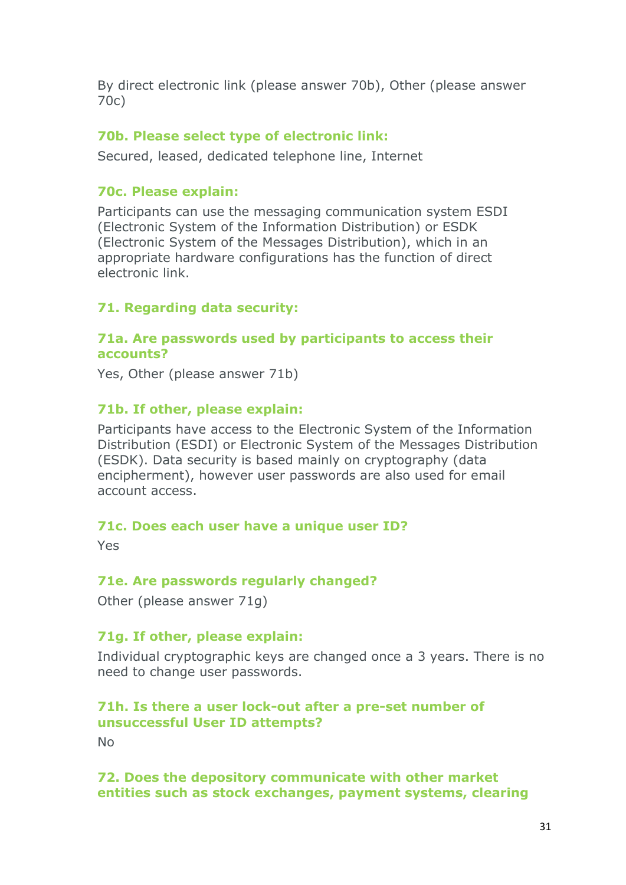By direct electronic link (please answer 70b), Other (please answer 70c)

## **70b. Please select type of electronic link:**

Secured, leased, dedicated telephone line, Internet

## **70c. Please explain:**

Participants can use the messaging communication system ESDI (Electronic System of the Information Distribution) or ESDK (Electronic System of the Messages Distribution), which in an appropriate hardware configurations has the function of direct electronic link.

# **71. Regarding data security:**

#### **71a. Are passwords used by participants to access their accounts?**

Yes, Other (please answer 71b)

# **71b. If other, please explain:**

Participants have access to the Electronic System of the Information Distribution (ESDI) or Electronic System of the Messages Distribution (ESDK). Data security is based mainly on cryptography (data encipherment), however user passwords are also used for email account access.

## **71c. Does each user have a unique user ID?**

Yes

## **71e. Are passwords regularly changed?**

Other (please answer 71g)

## **71g. If other, please explain:**

Individual cryptographic keys are changed once a 3 years. There is no need to change user passwords.

# **71h. Is there a user lock-out after a pre-set number of unsuccessful User ID attempts?**

No

#### **72. Does the depository communicate with other market entities such as stock exchanges, payment systems, clearing**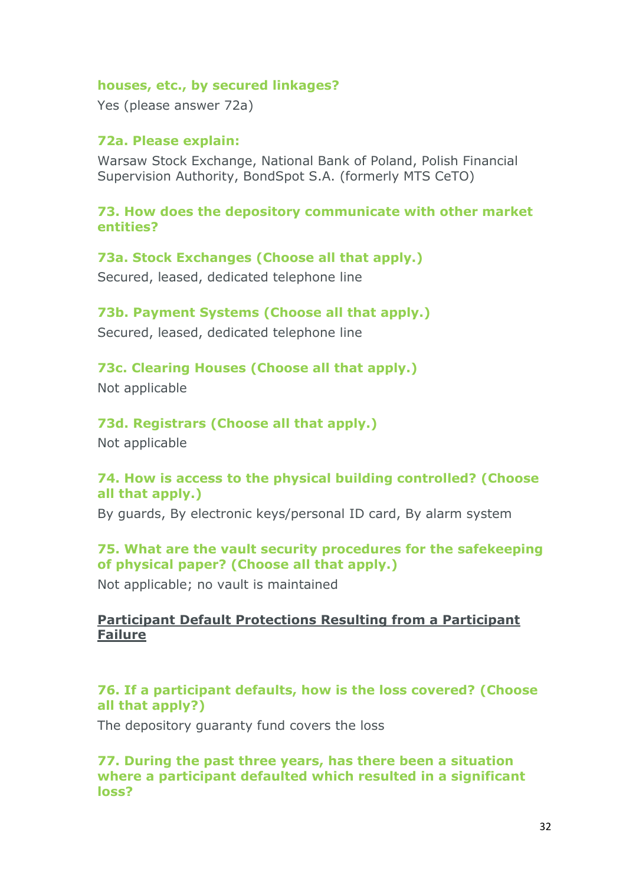#### **houses, etc., by secured linkages?**

Yes (please answer 72a)

## **72a. Please explain:**

Warsaw Stock Exchange, National Bank of Poland, Polish Financial Supervision Authority, BondSpot S.A. (formerly MTS CeTO)

#### **73. How does the depository communicate with other market entities?**

#### **73a. Stock Exchanges (Choose all that apply.)**

Secured, leased, dedicated telephone line

## **73b. Payment Systems (Choose all that apply.)**

Secured, leased, dedicated telephone line

# **73c. Clearing Houses (Choose all that apply.)**

Not applicable

# **73d. Registrars (Choose all that apply.)**

Not applicable

# **74. How is access to the physical building controlled? (Choose all that apply.)**

By guards, By electronic keys/personal ID card, By alarm system

# **75. What are the vault security procedures for the safekeeping of physical paper? (Choose all that apply.)**

Not applicable; no vault is maintained

# **Participant Default Protections Resulting from a Participant Failure**

# **76. If a participant defaults, how is the loss covered? (Choose all that apply?)**

The depository guaranty fund covers the loss

**77. During the past three years, has there been a situation where a participant defaulted which resulted in a significant loss?**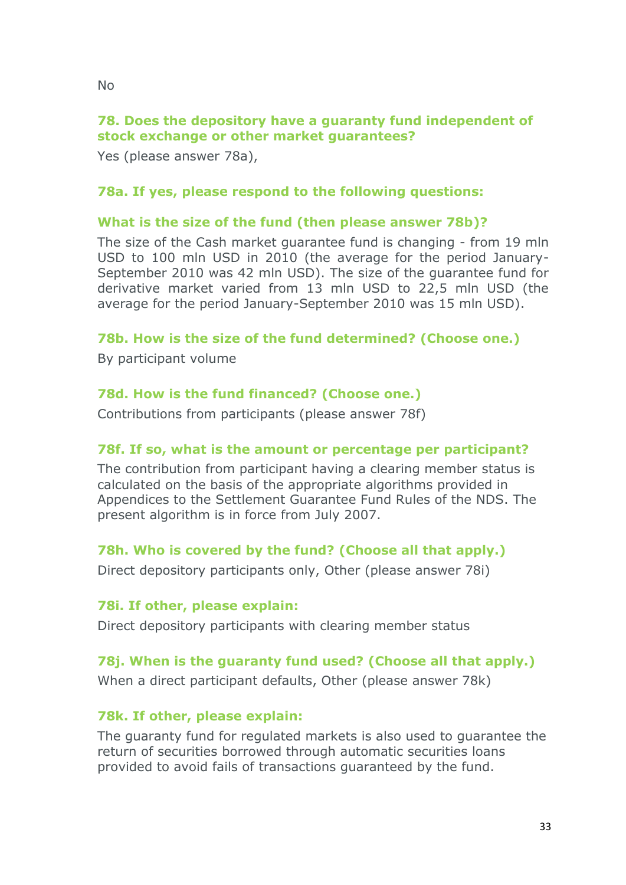**stock exchange or other market guarantees?**

Yes (please answer 78a),

## **78a. If yes, please respond to the following questions:**

## **What is the size of the fund (then please answer 78b)?**

The size of the Cash market guarantee fund is changing - from 19 mln USD to 100 mln USD in 2010 (the average for the period January-September 2010 was 42 mln USD). The size of the guarantee fund for derivative market varied from 13 mln USD to 22,5 mln USD (the average for the period January-September 2010 was 15 mln USD).

# **78b. How is the size of the fund determined? (Choose one.)**

By participant volume

# **78d. How is the fund financed? (Choose one.)**

Contributions from participants (please answer 78f)

# **78f. If so, what is the amount or percentage per participant?**

The contribution from participant having a clearing member status is calculated on the basis of the appropriate algorithms provided in Appendices to the Settlement Guarantee Fund Rules of the NDS. The present algorithm is in force from July 2007.

# **78h. Who is covered by the fund? (Choose all that apply.)**

Direct depository participants only, Other (please answer 78i)

## **78i. If other, please explain:**

Direct depository participants with clearing member status

# **78j. When is the guaranty fund used? (Choose all that apply.)**

When a direct participant defaults, Other (please answer 78k)

# **78k. If other, please explain:**

The guaranty fund for regulated markets is also used to guarantee the return of securities borrowed through automatic securities loans provided to avoid fails of transactions guaranteed by the fund.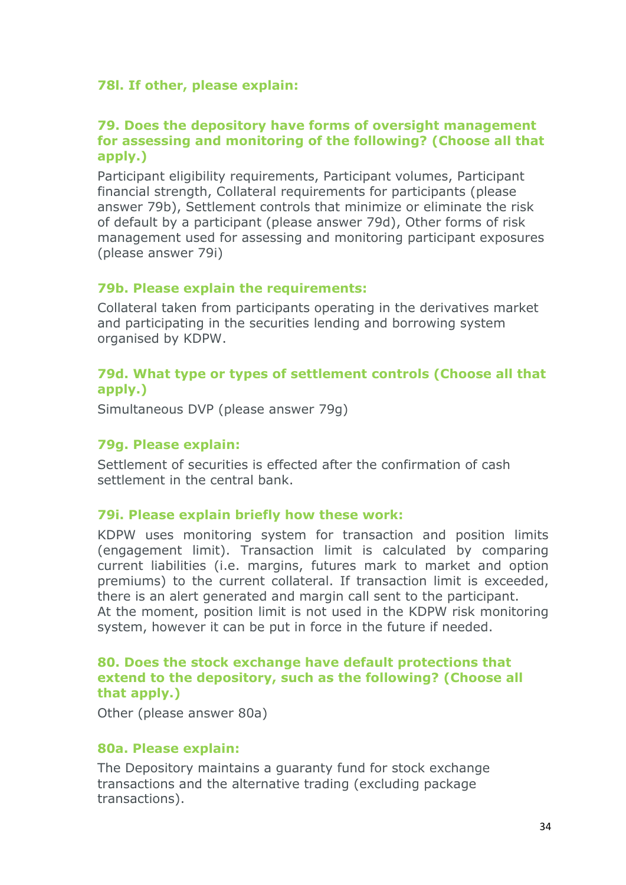# **78l. If other, please explain:**

## **79. Does the depository have forms of oversight management for assessing and monitoring of the following? (Choose all that apply.)**

Participant eligibility requirements, Participant volumes, Participant financial strength, Collateral requirements for participants (please answer 79b), Settlement controls that minimize or eliminate the risk of default by a participant (please answer 79d), Other forms of risk management used for assessing and monitoring participant exposures (please answer 79i)

## **79b. Please explain the requirements:**

Collateral taken from participants operating in the derivatives market and participating in the securities lending and borrowing system organised by KDPW.

# **79d. What type or types of settlement controls (Choose all that apply.)**

Simultaneous DVP (please answer 79g)

## **79g. Please explain:**

Settlement of securities is effected after the confirmation of cash settlement in the central bank.

## **79i. Please explain briefly how these work:**

KDPW uses monitoring system for transaction and position limits (engagement limit). Transaction limit is calculated by comparing current liabilities (i.e. margins, futures mark to market and option premiums) to the current collateral. If transaction limit is exceeded, there is an alert generated and margin call sent to the participant. At the moment, position limit is not used in the KDPW risk monitoring system, however it can be put in force in the future if needed.

## **80. Does the stock exchange have default protections that extend to the depository, such as the following? (Choose all that apply.)**

Other (please answer 80a)

#### **80a. Please explain:**

The Depository maintains a guaranty fund for stock exchange transactions and the alternative trading (excluding package transactions).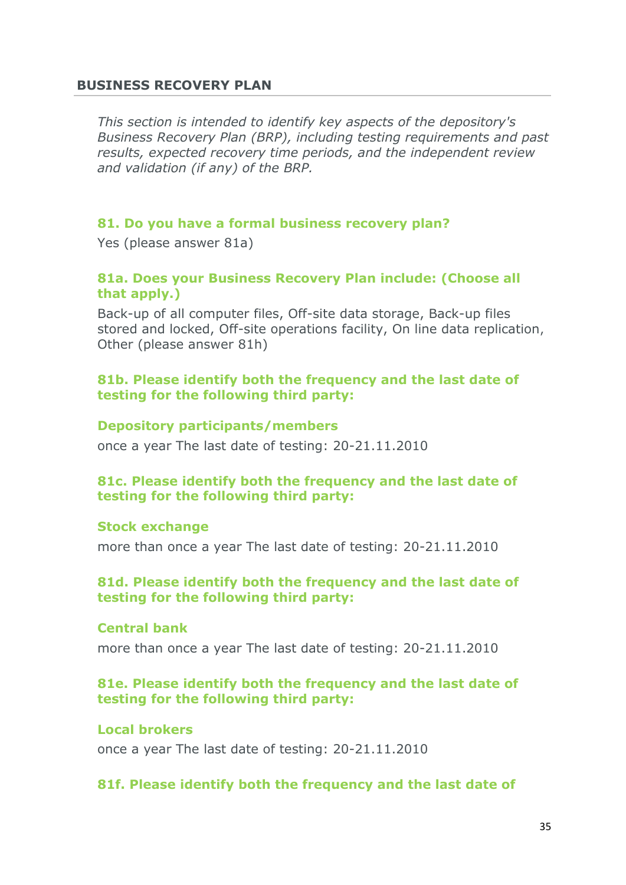#### **BUSINESS RECOVERY PLAN**

*This section is intended to identify key aspects of the depository's Business Recovery Plan (BRP), including testing requirements and past results, expected recovery time periods, and the independent review and validation (if any) of the BRP.*

#### **81. Do you have a formal business recovery plan?**

Yes (please answer 81a)

#### **81a. Does your Business Recovery Plan include: (Choose all that apply.)**

Back-up of all computer files, Off-site data storage, Back-up files stored and locked, Off-site operations facility, On line data replication, Other (please answer 81h)

#### **81b. Please identify both the frequency and the last date of testing for the following third party:**

#### **Depository participants/members**

once a year The last date of testing: 20-21.11.2010

## **81c. Please identify both the frequency and the last date of testing for the following third party:**

#### **Stock exchange**

more than once a year The last date of testing: 20-21.11.2010

#### **81d. Please identify both the frequency and the last date of testing for the following third party:**

#### **Central bank**

more than once a year The last date of testing: 20-21.11.2010

#### **81e. Please identify both the frequency and the last date of testing for the following third party:**

#### **Local brokers**

once a year The last date of testing: 20-21.11.2010

#### **81f. Please identify both the frequency and the last date of**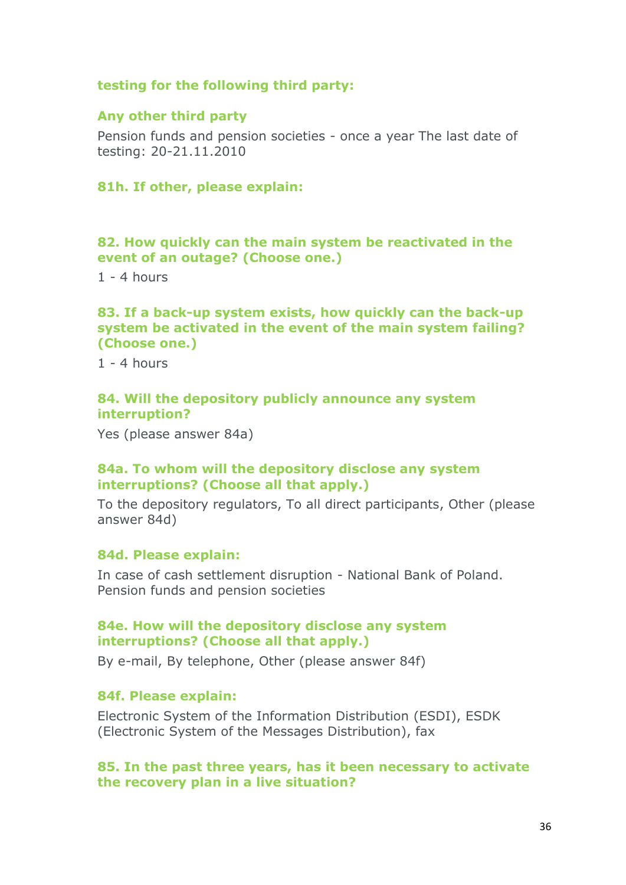#### **testing for the following third party:**

#### **Any other third party**

Pension funds and pension societies - once a year The last date of testing: 20-21.11.2010

## **81h. If other, please explain:**

#### **82. How quickly can the main system be reactivated in the event of an outage? (Choose one.)**

 $1 - 4$  hours

#### **83. If a back-up system exists, how quickly can the back-up system be activated in the event of the main system failing? (Choose one.)**

 $1 - 4$  hours

#### **84. Will the depository publicly announce any system interruption?**

Yes (please answer 84a)

#### **84a. To whom will the depository disclose any system interruptions? (Choose all that apply.)**

To the depository regulators, To all direct participants, Other (please answer 84d)

#### **84d. Please explain:**

In case of cash settlement disruption - National Bank of Poland. Pension funds and pension societies

#### **84e. How will the depository disclose any system interruptions? (Choose all that apply.)**

By e-mail, By telephone, Other (please answer 84f)

#### **84f. Please explain:**

Electronic System of the Information Distribution (ESDI), ESDK (Electronic System of the Messages Distribution), fax

#### **85. In the past three years, has it been necessary to activate the recovery plan in a live situation?**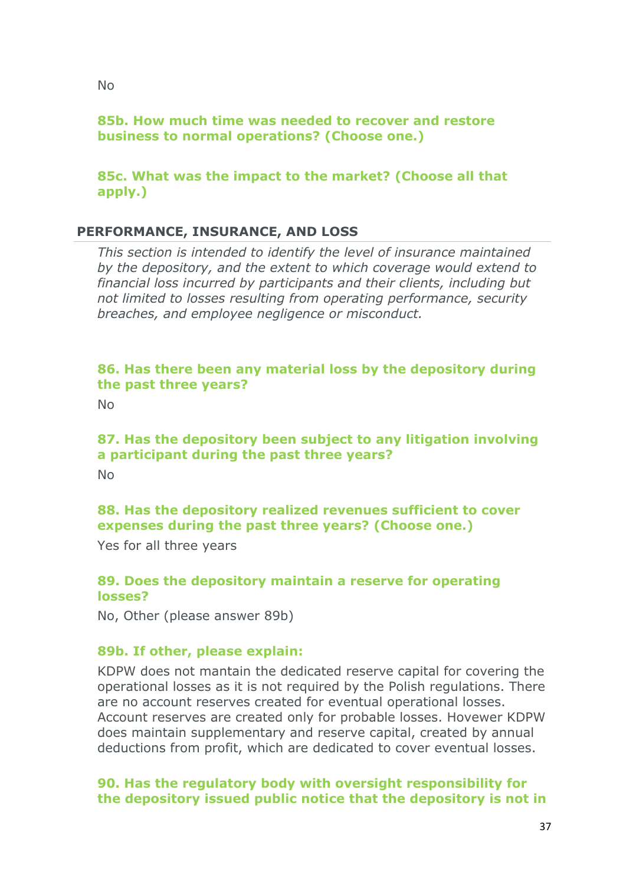# **85b. How much time was needed to recover and restore business to normal operations? (Choose one.)**

# **85c. What was the impact to the market? (Choose all that apply.)**

# **PERFORMANCE, INSURANCE, AND LOSS**

*This section is intended to identify the level of insurance maintained by the depository, and the extent to which coverage would extend to financial loss incurred by participants and their clients, including but not limited to losses resulting from operating performance, security breaches, and employee negligence or misconduct.*

## **86. Has there been any material loss by the depository during the past three years?**

No

# **87. Has the depository been subject to any litigation involving a participant during the past three years?**

No

# **88. Has the depository realized revenues sufficient to cover expenses during the past three years? (Choose one.)**

Yes for all three years

# **89. Does the depository maintain a reserve for operating losses?**

No, Other (please answer 89b)

# **89b. If other, please explain:**

KDPW does not mantain the dedicated reserve capital for covering the operational losses as it is not required by the Polish regulations. There are no account reserves created for eventual operational losses. Account reserves are created only for probable losses. Hovewer KDPW does maintain supplementary and reserve capital, created by annual deductions from profit, which are dedicated to cover eventual losses.

## **90. Has the regulatory body with oversight responsibility for the depository issued public notice that the depository is not in**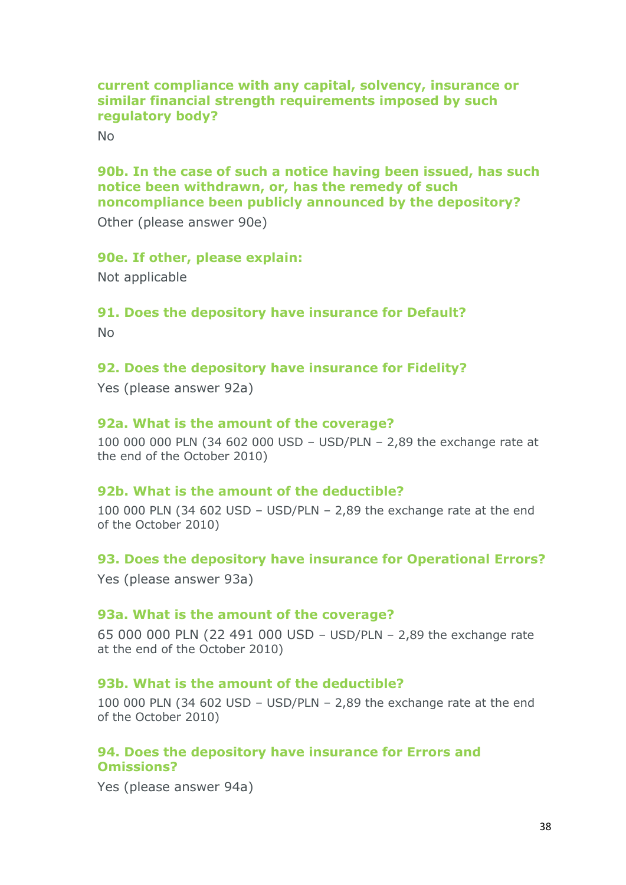## **current compliance with any capital, solvency, insurance or similar financial strength requirements imposed by such regulatory body?**

No

#### **90b. In the case of such a notice having been issued, has such notice been withdrawn, or, has the remedy of such noncompliance been publicly announced by the depository?**

Other (please answer 90e)

#### **90e. If other, please explain:**

Not applicable

#### **91. Does the depository have insurance for Default?**

No

#### **92. Does the depository have insurance for Fidelity?**

Yes (please answer 92a)

#### **92a. What is the amount of the coverage?**

100 000 000 PLN (34 602 000 USD – USD/PLN – 2,89 the exchange rate at the end of the October 2010)

#### **92b. What is the amount of the deductible?**

100 000 PLN (34 602 USD – USD/PLN – 2,89 the exchange rate at the end of the October 2010)

#### **93. Does the depository have insurance for Operational Errors?**

Yes (please answer 93a)

#### **93a. What is the amount of the coverage?**

65 000 000 PLN (22 491 000 USD – USD/PLN – 2,89 the exchange rate at the end of the October 2010)

#### **93b. What is the amount of the deductible?**

100 000 PLN (34 602 USD – USD/PLN – 2,89 the exchange rate at the end of the October 2010)

#### **94. Does the depository have insurance for Errors and Omissions?**

Yes (please answer 94a)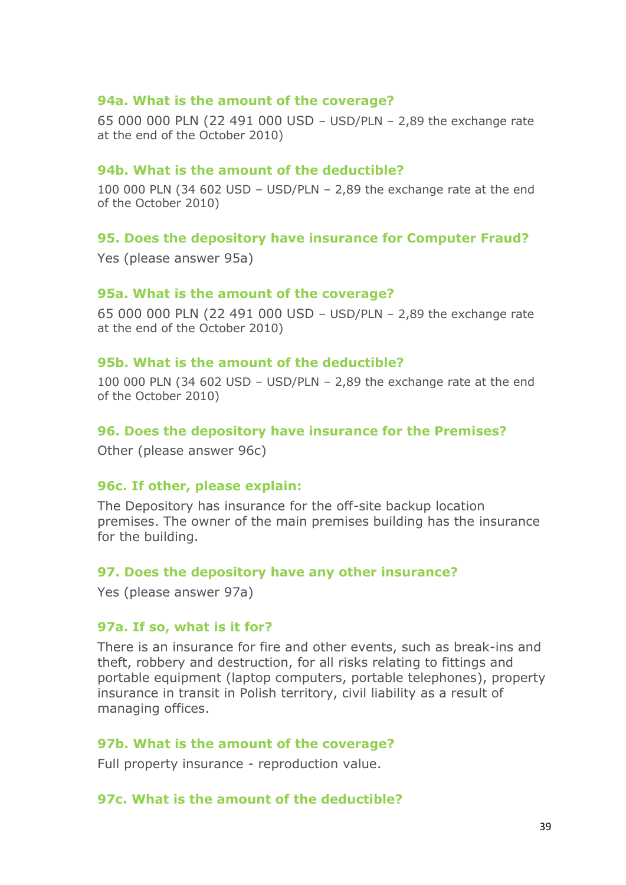#### **94a. What is the amount of the coverage?**

65 000 000 PLN (22 491 000 USD – USD/PLN – 2,89 the exchange rate at the end of the October 2010)

#### **94b. What is the amount of the deductible?**

100 000 PLN (34 602 USD – USD/PLN – 2,89 the exchange rate at the end of the October 2010)

#### **95. Does the depository have insurance for Computer Fraud?**

Yes (please answer 95a)

#### **95a. What is the amount of the coverage?**

65 000 000 PLN (22 491 000 USD – USD/PLN – 2,89 the exchange rate at the end of the October 2010)

#### **95b. What is the amount of the deductible?**

100 000 PLN (34 602 USD – USD/PLN – 2,89 the exchange rate at the end of the October 2010)

#### **96. Does the depository have insurance for the Premises?**

Other (please answer 96c)

#### **96c. If other, please explain:**

The Depository has insurance for the off-site backup location premises. The owner of the main premises building has the insurance for the building.

#### **97. Does the depository have any other insurance?**

Yes (please answer 97a)

#### **97a. If so, what is it for?**

There is an insurance for fire and other events, such as break-ins and theft, robbery and destruction, for all risks relating to fittings and portable equipment (laptop computers, portable telephones), property insurance in transit in Polish territory, civil liability as a result of managing offices.

#### **97b. What is the amount of the coverage?**

Full property insurance - reproduction value.

#### **97c. What is the amount of the deductible?**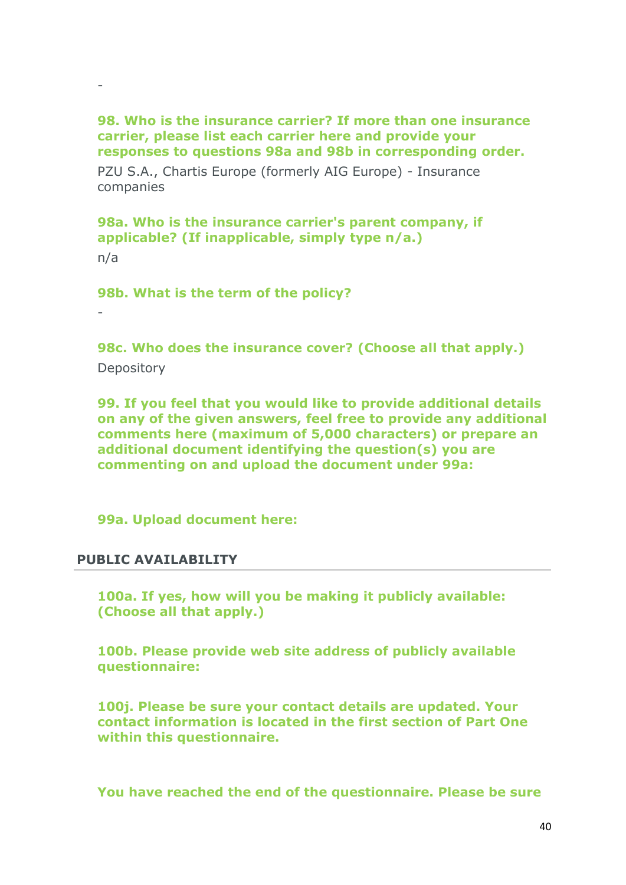#### **98. Who is the insurance carrier? If more than one insurance carrier, please list each carrier here and provide your responses to questions 98a and 98b in corresponding order.**

PZU S.A., Chartis Europe (formerly AIG Europe) - Insurance companies

**98a. Who is the insurance carrier's parent company, if applicable? (If inapplicable, simply type n/a.)**

n/a

-

**98b. What is the term of the policy?**

-

**98c. Who does the insurance cover? (Choose all that apply.) Depository** 

**99. If you feel that you would like to provide additional details on any of the given answers, feel free to provide any additional comments here (maximum of 5,000 characters) or prepare an additional document identifying the question(s) you are commenting on and upload the document under 99a:**

**99a. Upload document here:**

## **PUBLIC AVAILABILITY**

**100a. If yes, how will you be making it publicly available: (Choose all that apply.)**

**100b. Please provide web site address of publicly available questionnaire:**

**100j. Please be sure your contact details are updated. Your contact information is located in the first section of Part One within this questionnaire.**

**You have reached the end of the questionnaire. Please be sure**